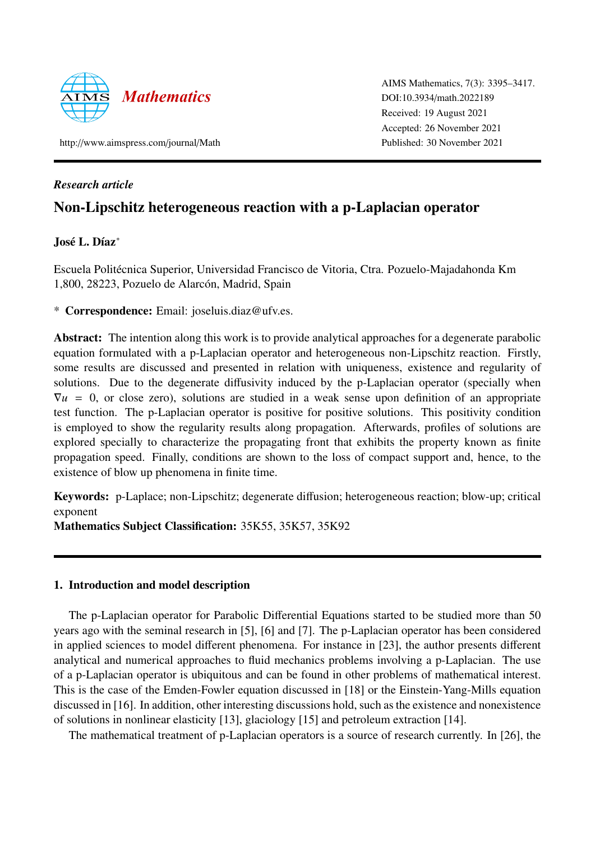

AIMS Mathematics, 7(3): 3395–3417. DOI:10.3934/[math.2022189](http://dx.doi.org/10.3934/math.2022189) Received: 19 August 2021 Accepted: 26 November 2021 Published: 30 November 2021

http://[www.aimspress.com](http://www.aimspress.com/journal/Math)/journal/Math

## *Research article*

# Non-Lipschitz heterogeneous reaction with a p-Laplacian operator

## José L. Díaz<sup>\*</sup>

Escuela Politecnica Superior, Universidad Francisco de Vitoria, Ctra. Pozuelo-Majadahonda Km ´ 1,800, 28223, Pozuelo de Alarcón, Madrid, Spain

\* Correspondence: Email: joseluis.diaz@ufv.es.

Abstract: The intention along this work is to provide analytical approaches for a degenerate parabolic equation formulated with a p-Laplacian operator and heterogeneous non-Lipschitz reaction. Firstly, some results are discussed and presented in relation with uniqueness, existence and regularity of solutions. Due to the degenerate diffusivity induced by the p-Laplacian operator (specially when  $\nabla u = 0$ , or close zero), solutions are studied in a weak sense upon definition of an appropriate test function. The p-Laplacian operator is positive for positive solutions. This positivity condition is employed to show the regularity results along propagation. Afterwards, profiles of solutions are explored specially to characterize the propagating front that exhibits the property known as finite propagation speed. Finally, conditions are shown to the loss of compact support and, hence, to the existence of blow up phenomena in finite time.

Keywords: p-Laplace; non-Lipschitz; degenerate diffusion; heterogeneous reaction; blow-up; critical exponent

Mathematics Subject Classification: 35K55, 35K57, 35K92

## 1. Introduction and model description

The p-Laplacian operator for Parabolic Differential Equations started to be studied more than 50 years ago with the seminal research in [\[5\]](#page-20-0), [\[6\]](#page-20-1) and [\[7\]](#page-20-2). The p-Laplacian operator has been considered in applied sciences to model different phenomena. For instance in [\[23\]](#page-21-0), the author presents different analytical and numerical approaches to fluid mechanics problems involving a p-Laplacian. The use of a p-Laplacian operator is ubiquitous and can be found in other problems of mathematical interest. This is the case of the Emden-Fowler equation discussed in [\[18\]](#page-21-1) or the Einstein-Yang-Mills equation discussed in [\[16\]](#page-21-2). In addition, other interesting discussions hold, such as the existence and nonexistence of solutions in nonlinear elasticity [\[13\]](#page-21-3), glaciology [\[15\]](#page-21-4) and petroleum extraction [\[14\]](#page-21-5).

The mathematical treatment of p-Laplacian operators is a source of research currently. In [\[26\]](#page-21-6), the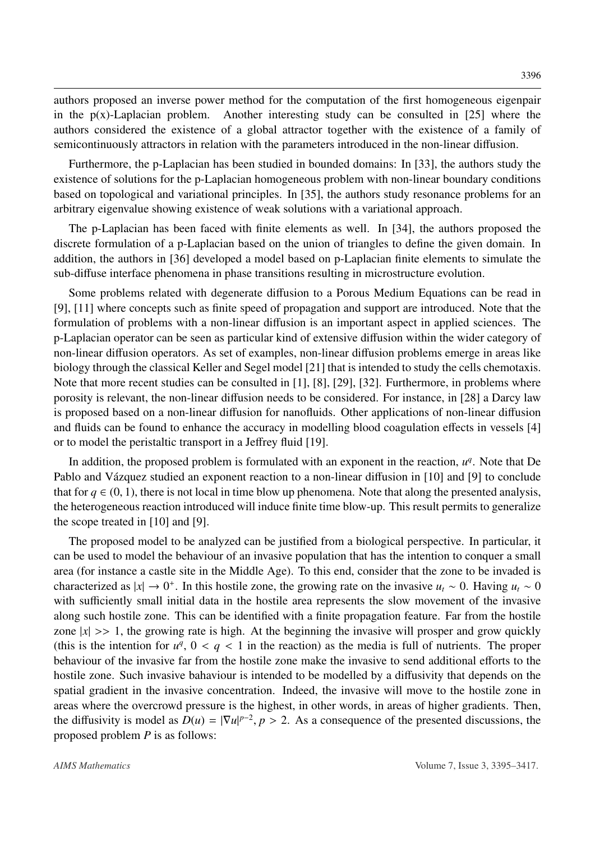authors proposed an inverse power method for the computation of the first homogeneous eigenpair in the  $p(x)$ -Laplacian problem. Another interesting study can be consulted in [\[25\]](#page-21-7) where the authors considered the existence of a global attractor together with the existence of a family of semicontinuously attractors in relation with the parameters introduced in the non-linear diffusion.

Furthermore, the p-Laplacian has been studied in bounded domains: In [\[33\]](#page-22-0), the authors study the existence of solutions for the p-Laplacian homogeneous problem with non-linear boundary conditions based on topological and variational principles. In [\[35\]](#page-22-1), the authors study resonance problems for an arbitrary eigenvalue showing existence of weak solutions with a variational approach.

The p-Laplacian has been faced with finite elements as well. In [\[34\]](#page-22-2), the authors proposed the discrete formulation of a p-Laplacian based on the union of triangles to define the given domain. In addition, the authors in [\[36\]](#page-22-3) developed a model based on p-Laplacian finite elements to simulate the sub-diffuse interface phenomena in phase transitions resulting in microstructure evolution.

Some problems related with degenerate diffusion to a Porous Medium Equations can be read in [\[9\]](#page-20-3), [\[11\]](#page-21-8) where concepts such as finite speed of propagation and support are introduced. Note that the formulation of problems with a non-linear diffusion is an important aspect in applied sciences. The p-Laplacian operator can be seen as particular kind of extensive diffusion within the wider category of non-linear diffusion operators. As set of examples, non-linear diffusion problems emerge in areas like biology through the classical Keller and Segel model [\[21\]](#page-21-9) that is intended to study the cells chemotaxis. Note that more recent studies can be consulted in [\[1\]](#page-20-4), [\[8\]](#page-20-5), [\[29\]](#page-22-4), [\[32\]](#page-22-5). Furthermore, in problems where porosity is relevant, the non-linear diffusion needs to be considered. For instance, in [\[28\]](#page-22-6) a Darcy law is proposed based on a non-linear diffusion for nanofluids. Other applications of non-linear diffusion and fluids can be found to enhance the accuracy in modelling blood coagulation effects in vessels [\[4\]](#page-20-6) or to model the peristaltic transport in a Jeffrey fluid [\[19\]](#page-21-10).

In addition, the proposed problem is formulated with an exponent in the reaction,  $u^q$ . Note that De Pablo and Vázquez studied an exponent reaction to a non-linear diffusion in [\[10\]](#page-21-11) and [\[9\]](#page-20-3) to conclude that for  $q \in (0, 1)$ , there is not local in time blow up phenomena. Note that along the presented analysis, the heterogeneous reaction introduced will induce finite time blow-up. This result permits to generalize the scope treated in [\[10\]](#page-21-11) and [\[9\]](#page-20-3).

The proposed model to be analyzed can be justified from a biological perspective. In particular, it can be used to model the behaviour of an invasive population that has the intention to conquer a small area (for instance a castle site in the Middle Age). To this end, consider that the zone to be invaded is characterized as  $|x| \to 0^+$ . In this hostile zone, the growing rate on the invasive  $u_t \sim 0$ . Having  $u_t \sim 0$ with sufficiently small initial data in the hostile area represents the slow movement of the invasive along such hostile zone. This can be identified with a finite propagation feature. Far from the hostile zone  $|x| \gg 1$ , the growing rate is high. At the beginning the invasive will prosper and grow quickly (this is the intention for  $u^q$ ,  $0 < q < 1$  in the reaction) as the media is full of nutrients. The proper<br>behaviour of the invasive for from the hostile zone make the invasive to send additional efforts to the behaviour of the invasive far from the hostile zone make the invasive to send additional efforts to the hostile zone. Such invasive bahaviour is intended to be modelled by a diffusivity that depends on the spatial gradient in the invasive concentration. Indeed, the invasive will move to the hostile zone in areas where the overcrowd pressure is the highest, in other words, in areas of higher gradients. Then, the diffusivity is model as  $D(u) = |\nabla u|^{p-2}$ ,  $p > 2$ . As a consequence of the presented discussions, the proposed problem *P* is as follows: proposed problem *P* is as follows: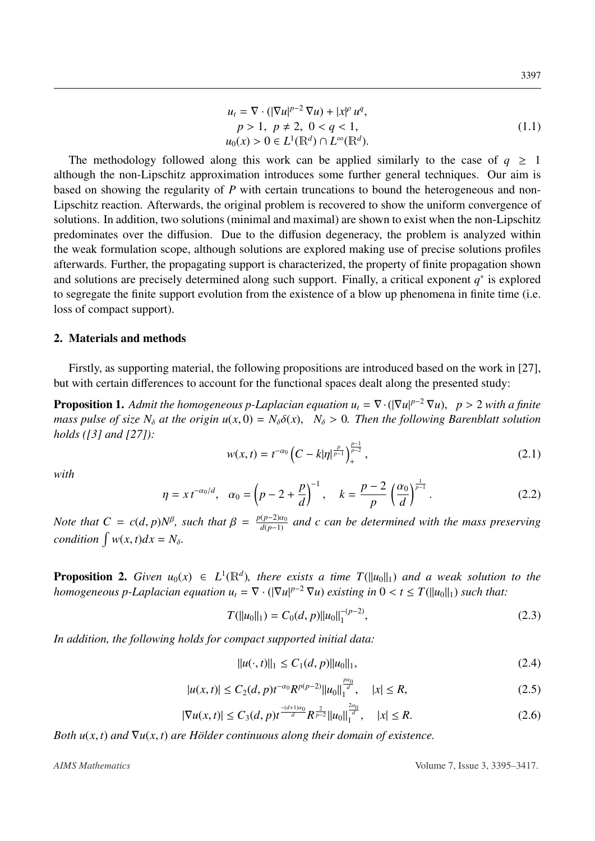<span id="page-2-1"></span>
$$
u_{t} = \nabla \cdot (|\nabla u|^{p-2} \nabla u) + |x|^{p} u^{q},
$$
  
\n
$$
p > 1, \ p \neq 2, \ 0 < q < 1,
$$
  
\n
$$
u_{0}(x) > 0 \in L^{1}(\mathbb{R}^{d}) \cap L^{\infty}(\mathbb{R}^{d}).
$$
\n(1.1)

The methodology followed along this work can be applied similarly to the case of  $q \ge 1$ although the non-Lipschitz approximation introduces some further general techniques. Our aim is based on showing the regularity of *P* with certain truncations to bound the heterogeneous and non-Lipschitz reaction. Afterwards, the original problem is recovered to show the uniform convergence of solutions. In addition, two solutions (minimal and maximal) are shown to exist when the non-Lipschitz predominates over the diffusion. Due to the diffusion degeneracy, the problem is analyzed within the weak formulation scope, although solutions are explored making use of precise solutions profiles afterwards. Further, the propagating support is characterized, the property of finite propagation shown and solutions are precisely determined along such support. Finally, a critical exponent  $q^*$  is explored to segregate the finite support evolution from the existence of a blow up phenomena in finite time (i.e. loss of compact support).

### 2. Materials and methods

Firstly, as supporting material, the following propositions are introduced based on the work in [\[27\]](#page-21-12), but with certain differences to account for the functional spaces dealt along the presented study:

<span id="page-2-2"></span>**Proposition 1.** Admit the homogeneous p-Laplacian equation  $u_t = \nabla \cdot (|\nabla u|^{p-2} \nabla u)$ ,  $p > 2$  with a finite mass pulse of size  $N_t$  at the origin  $u(x, 0) = N_t \delta(x) - N_t > 0$ . Then the following Barenblatt solution *mass pulse of size*  $N_{\delta}$  *at the origin*  $u(x, 0) = N_{\delta} \delta(x)$ ,  $N_{\delta} > 0$ . Then the following Barenblatt solution *holds ([\[3\]](#page-20-7) and [\[27\]](#page-21-12)):*

$$
w(x,t) = t^{-\alpha_0} \left( C - k|\eta|^{\frac{p}{p-1}} \right)_+^{\frac{p-1}{p-2}}, \tag{2.1}
$$

*with*

$$
\eta = x t^{-\alpha_0/d}, \quad \alpha_0 = \left(p - 2 + \frac{p}{d}\right)^{-1}, \quad k = \frac{p - 2}{p} \left(\frac{\alpha_0}{d}\right)^{\frac{1}{p - 1}}.
$$
 (2.2)

*Note that*  $C = c(d, p)N^{\beta}$ , such that  $\beta = \frac{p(p-2)\alpha_0}{d(p-1)}$  and c can be determined with the mass preserving *condition*  $\int w(x, t)dx = N_\delta$ .

<span id="page-2-0"></span>**Proposition 2.** *Given*  $u_0(x) \in L^1(\mathbb{R}^d)$ , there exists a time  $T(||u_0||_1)$  and a weak solution to the *homogeneous p-Laplacian equation*  $u_t = \nabla \cdot (|\nabla u|^{p-2} \nabla u)$  *existing in*  $0 < t \leq T(||u_0||_1)$  *such that:* 

$$
T(||u_0||_1) = C_0(d, p)||u_0||_1^{-(p-2)},
$$
\n(2.3)

*In addition, the following holds for compact supported initial data:*

$$
||u(\cdot,t)||_1 \le C_1(d,p)||u_0||_1,
$$
\n(2.4)

$$
|u(x,t)| \le C_2(d,p)t^{-\alpha_0}R^{p(p-2)}||u_0||_1^{\frac{p\alpha_0}{d}}, \quad |x| \le R,\tag{2.5}
$$

$$
|\nabla u(x,t)| \le C_3(d,p)t^{\frac{-(d+1)\alpha_0}{d}} R^{\frac{2}{p-2}} \|u_0\|_1^{\frac{2\alpha_0}{d}}, \quad |x| \le R. \tag{2.6}
$$

*Both*  $u(x, t)$  *and*  $\nabla u(x, t)$  *are Hölder continuous along their domain of existence.*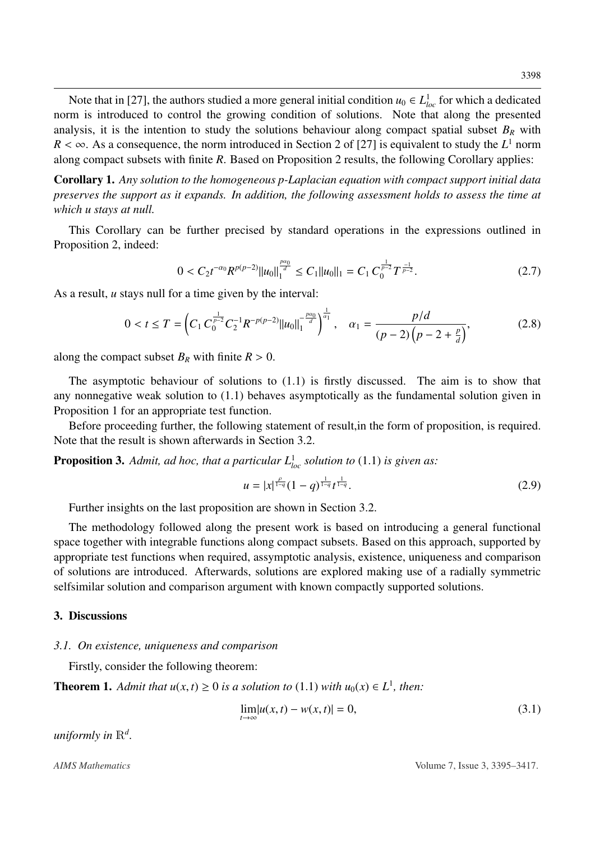Note that in [\[27\]](#page-21-12), the authors studied a more general initial condition  $u_0 \in L^1_{loc}$  for which a dedicated norm is introduced to control the growing condition of solutions. Note that along the presented analysis, it is the intention to study the solutions behaviour along compact spatial subset  $B_R$  with  $R < \infty$ . As a consequence, the norm introduced in Section 2 of [\[27\]](#page-21-12) is equivalent to study the *L*<sup>1</sup> norm along compact subsets with finite *R*. Based on Proposition 2 results the following Corollary applies: along compact subsets with finite *R*. Based on Proposition [2](#page-2-0) results, the following Corollary applies:

Corollary 1. *Any solution to the homogeneous p-Laplacian equation with compact support initial data preserves the support as it expands. In addition, the following assessment holds to assess the time at which u stays at null.*

This Corollary can be further precised by standard operations in the expressions outlined in Proposition [2,](#page-2-0) indeed:

$$
0 < C_2 t^{-\alpha_0} R^{p(p-2)} \|u_0\|_1^{\frac{p\alpha_0}{d}} \le C_1 \|u_0\|_1 = C_1 C_0^{\frac{1}{p-2}} T^{\frac{-1}{p-2}}.\tag{2.7}
$$

As a result, *u* stays null for a time given by the interval:

$$
0 < t \le T = \left( C_1 C_0^{\frac{1}{p-2}} C_2^{-1} R^{-p(p-2)} \|u_0\|_1^{-\frac{p\alpha_0}{d}} \right)^{\frac{1}{\alpha_1}}, \quad \alpha_1 = \frac{p/d}{(p-2)\left(p-2+\frac{p}{d}\right)},\tag{2.8}
$$

along the compact subset  $B_R$  with finite  $R > 0$ .

The asymptotic behaviour of solutions to [\(1.1\)](#page-2-1) is firstly discussed. The aim is to show that any nonnegative weak solution to [\(1.1\)](#page-2-1) behaves asymptotically as the fundamental solution given in Proposition [1](#page-2-2) for an appropriate test function.

Before proceeding further, the following statement of result,in the form of proposition, is required. Note that the result is shown afterwards in Section [3.2.](#page-13-0)

<span id="page-3-0"></span>**Proposition 3.** Admit, ad hoc, that a particular  $L^1_{loc}$  solution to [\(1.1\)](#page-2-1) is given as:

$$
u = |x|^{\frac{\rho}{1-q}} (1-q)^{\frac{1}{1-q}} t^{\frac{1}{1-q}}.
$$
 (2.9)

Further insights on the last proposition are shown in Section [3.2.](#page-13-0)

The methodology followed along the present work is based on introducing a general functional space together with integrable functions along compact subsets. Based on this approach, supported by appropriate test functions when required, assymptotic analysis, existence, uniqueness and comparison of solutions are introduced. Afterwards, solutions are explored making use of a radially symmetric selfsimilar solution and comparison argument with known compactly supported solutions.

#### 3. Discussions

#### *3.1. On existence, uniqueness and comparison*

Firstly, consider the following theorem:

<span id="page-3-1"></span>**Theorem 1.** *Admit that*  $u(x, t) \ge 0$  *is a solution to* [\(1.1\)](#page-2-1) *with*  $u_0(x) \in L^1$ *, then:* 

$$
\lim_{t \to \infty} |u(x, t) - w(x, t)| = 0,
$$
\n(3.1)

*uniformly in* R*<sup>d</sup> .*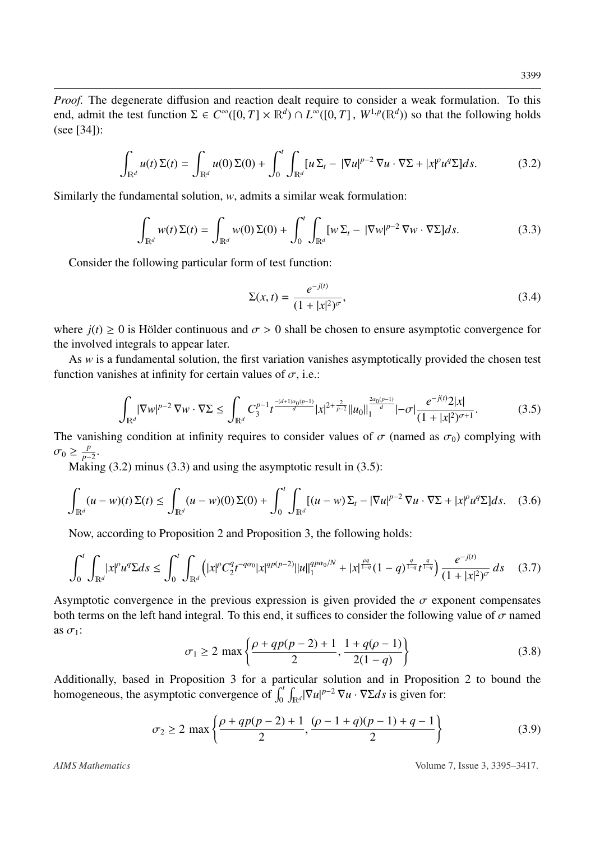*Proof.* The degenerate diffusion and reaction dealt require to consider a weak formulation. To this end, admit the test function  $\Sigma \in C^{\infty}([0, T] \times \mathbb{R}^d) \cap L^{\infty}([0, T], W^{1, p}(\mathbb{R}^d))$  so that the following holds (see [341). (see [\[34\]](#page-22-2)):

<span id="page-4-0"></span>
$$
\int_{\mathbb{R}^d} u(t) \Sigma(t) = \int_{\mathbb{R}^d} u(0) \Sigma(0) + \int_0^t \int_{\mathbb{R}^d} [u \Sigma_t - |\nabla u|^{p-2} \nabla u \cdot \nabla \Sigma + |x|^p u^q \Sigma] ds.
$$
 (3.2)

Similarly the fundamental solution, *w*, admits a similar weak formulation:

<span id="page-4-1"></span>
$$
\int_{\mathbb{R}^d} w(t) \Sigma(t) = \int_{\mathbb{R}^d} w(0) \Sigma(0) + \int_0^t \int_{\mathbb{R}^d} [w \Sigma_t - |\nabla w|^{p-2} \nabla w \cdot \nabla \Sigma] ds.
$$
\n(3.3)

Consider the following particular form of test function:

<span id="page-4-4"></span>
$$
\Sigma(x,t) = \frac{e^{-j(t)}}{(1+|x|^2)^{\sigma}},
$$
\n(3.4)

where  $j(t) \ge 0$  is Hölder continuous and  $\sigma > 0$  shall be chosen to ensure asymptotic convergence for the involved integrals to appear later.

As *w* is a fundamental solution, the first variation vanishes asymptotically provided the chosen test function vanishes at infinity for certain values of  $\sigma$ , i.e.:

<span id="page-4-2"></span>
$$
\int_{\mathbb{R}^d} |\nabla w|^{p-2} \nabla w \cdot \nabla \Sigma \le \int_{\mathbb{R}^d} C_3^{p-1} t^{\frac{-(d+1)\alpha_0(p-1)}{d}} |x|^{2+\frac{2}{p-2}} \|u_0\|_1^{\frac{2\alpha_0(p-1)}{d}} - \sigma |\frac{e^{-j(t)} 2|x|}{(1+|x|^2)^{\sigma+1}}. \tag{3.5}
$$

The vanishing condition at infinity requires to consider values of  $\sigma$  (named as  $\sigma_0$ ) complying with  $\sigma_0 \geq \frac{p}{p-1}$  $\frac{p}{p-2}$ .

Making  $(3.2)$  minus  $(3.3)$  and using the asymptotic result in  $(3.5)$ :

<span id="page-4-3"></span>
$$
\int_{\mathbb{R}^d} (u - w)(t) \Sigma(t) \le \int_{\mathbb{R}^d} (u - w)(0) \Sigma(0) + \int_0^t \int_{\mathbb{R}^d} [(u - w) \Sigma_t - |\nabla u|^{p-2} \nabla u \cdot \nabla \Sigma + |x|^p u^q \Sigma] ds. \quad (3.6)
$$

Now, according to Proposition [2](#page-2-0) and Proposition [3,](#page-3-0) the following holds:

$$
\int_0^t \int_{\mathbb{R}^d} |x|^p u^q \Sigma ds \le \int_0^t \int_{\mathbb{R}^d} \left( |x|^p C_2^q t^{-q\alpha_0} |x|^{qp(p-2)} \|u\|_1^{qp\alpha_0/N} + |x|^{\frac{pq}{1-q}} (1-q)^{\frac{q}{1-q}} t^{\frac{q}{1-q}} \right) \frac{e^{-j(t)}}{(1+|x|^2)^{\sigma}} ds \quad (3.7)
$$

Asymptotic convergence in the previous expression is given provided the  $\sigma$  exponent compensates both terms on the left hand integral. To this end, it suffices to consider the following value of  $\sigma$  named as  $\sigma_1$ :

$$
\sigma_1 \ge 2 \max \left\{ \frac{\rho + qp(p-2) + 1}{2}, \frac{1 + q(\rho - 1)}{2(1 - q)} \right\}
$$
(3.8)

Additionally, based in Proposition [3](#page-3-0) for a particular solution and in Proposition [2](#page-2-0) to bound the homogeneous, the asymptotic convergence of  $\int_0^t \int_{\mathbb{R}^d} |\nabla u|^{p-2} \nabla u \cdot \nabla \Sigma ds$  is given for:

$$
\sigma_2 \ge 2 \max \left\{ \frac{\rho + qp(p-2) + 1}{2}, \frac{(\rho - 1 + q)(p-1) + q - 1}{2} \right\}
$$
(3.9)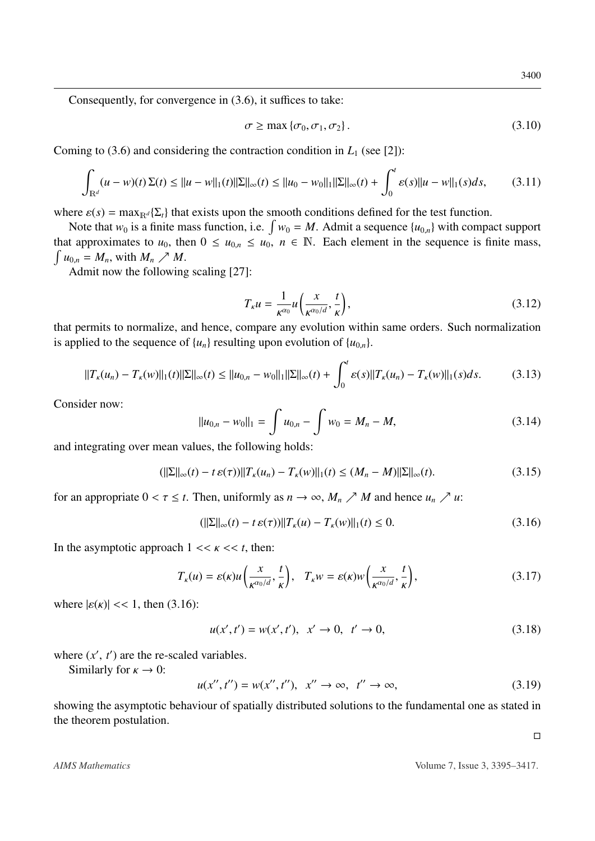Consequently, for convergence in [\(3.6\)](#page-4-3), it suffices to take:

$$
\sigma \ge \max \{ \sigma_0, \sigma_1, \sigma_2 \}. \tag{3.10}
$$

Coming to [\(3.6\)](#page-4-3) and considering the contraction condition in  $L_1$  (see [\[2\]](#page-20-8)):

$$
\int_{\mathbb{R}^d} (u - w)(t) \Sigma(t) \le ||u - w||_1(t) ||\Sigma||_{\infty}(t) \le ||u_0 - w_0||_1 ||\Sigma||_{\infty}(t) + \int_0^t \varepsilon(s) ||u - w||_1(s) ds,
$$
 (3.11)

where  $\varepsilon(s) = \max_{\mathbb{R}^d} {\{\Sigma_t\}}$  that exists upon the smooth conditions defined for the test function.

Note that  $w_0$  is a finite mass function, i.e.  $\int w_0 = M$ . Admit a sequence  $\{u_{0,n}\}$  with compact support that approximates to  $u_0$ , then  $0 \le u_{0,n} \le u_0$ ,  $n \in \mathbb{N}$ . Each element in the sequence is finite mass,  $\int u_{0,n} = M_n$ , with  $M_n \nearrow M$ .

Admit now the following scaling [\[27\]](#page-21-12):

$$
T_{\kappa}u = \frac{1}{\kappa^{\alpha_0}} u\left(\frac{x}{\kappa^{\alpha_0/d}}, \frac{t}{\kappa}\right),\tag{3.12}
$$

that permits to normalize, and hence, compare any evolution within same orders. Such normalization is applied to the sequence of  $\{u_n\}$  resulting upon evolution of  $\{u_{0,n}\}$ .

$$
||T_{\kappa}(u_n) - T_{\kappa}(w)||_1(t)||\Sigma||_{\infty}(t) \le ||u_{0,n} - w_0||_1||\Sigma||_{\infty}(t) + \int_0^t \varepsilon(s)||T_{\kappa}(u_n) - T_{\kappa}(w)||_1(s)ds.
$$
 (3.13)

Consider now:

$$
||u_{0,n} - w_0||_1 = \int u_{0,n} - \int w_0 = M_n - M,
$$
\n(3.14)

and integrating over mean values, the following holds:

$$
(||\Sigma||_{\infty}(t) - t \,\varepsilon(\tau))||T_{\kappa}(u_n) - T_{\kappa}(w)||_1(t) \le (M_n - M)||\Sigma||_{\infty}(t). \tag{3.15}
$$

for an appropriate  $0 < \tau \le t$ . Then, uniformly as  $n \to \infty$ ,  $M_n \nearrow M$  and hence  $u_n \nearrow u$ .

<span id="page-5-0"></span>
$$
(||\Sigma||_{\infty}(t) - t \,\varepsilon(\tau))||T_{\kappa}(u) - T_{\kappa}(w)||_1(t) \le 0. \tag{3.16}
$$

In the asymptotic approach  $1 \ll \kappa \ll t$ , then:

$$
T_{\kappa}(u) = \varepsilon(\kappa)u\left(\frac{x}{\kappa^{\alpha_0/d}},\frac{t}{\kappa}\right), \quad T_{\kappa}w = \varepsilon(\kappa)w\left(\frac{x}{\kappa^{\alpha_0/d}},\frac{t}{\kappa}\right),\tag{3.17}
$$

where  $|\varepsilon(\kappa)| \ll 1$ , then [\(3.16\)](#page-5-0):

$$
u(x',t') = w(x',t'), \quad x' \to 0, \quad t' \to 0,
$$
\n(3.18)

where  $(x', t')$  are the re-scaled variables.<br>Similarly for  $x \to 0$ :

Similarly for  $\kappa \to 0$ :

 $u(x'', t'') = w(x'', t''), \quad x'' \to \infty, \quad t'' \to \infty,$  (3.19)

showing the asymptotic behaviour of spatially distributed solutions to the fundamental one as stated in the theorem postulation.

 $\Box$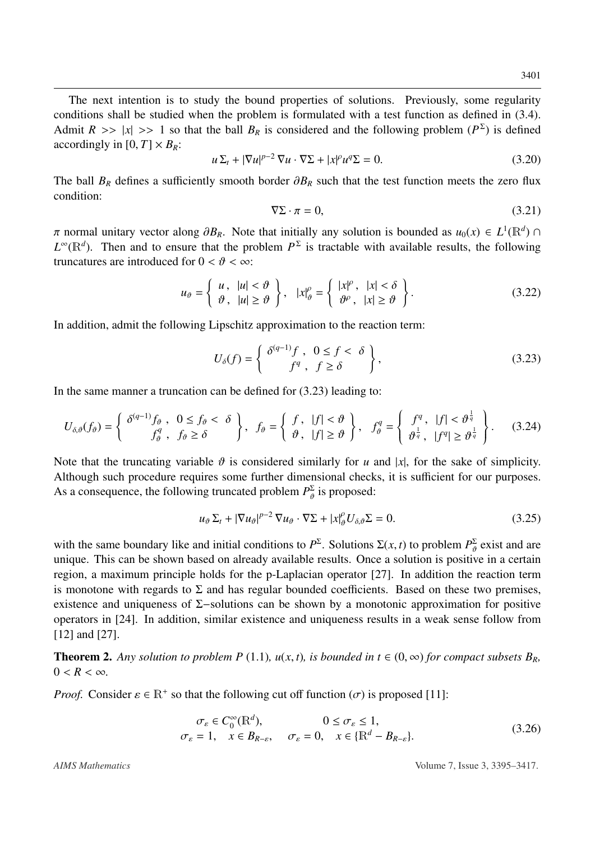The next intention is to study the bound properties of solutions. Previously, some regularity conditions shall be studied when the problem is formulated with a test function as defined in [\(3.4\)](#page-4-4). Admit  $R \gg |x| \gg 1$  so that the ball  $B_R$  is considered and the following problem  $(P^{\Sigma})$  is defined accordingly in  $[0, T] \times R_{\Sigma}$ . accordingly in  $[0, T] \times B_R$ :

$$
u\Sigma_t + |\nabla u|^{p-2} \nabla u \cdot \nabla \Sigma + |x|^p u^q \Sigma = 0.
$$
 (3.20)

The ball  $B_R$  defines a sufficiently smooth border  $\partial B_R$  such that the test function meets the zero flux condition:

$$
\nabla \Sigma \cdot \pi = 0,\tag{3.21}
$$

π normal unitary vector along  $\partial B_R$ . Note that initially any solution is bounded as  $u_0(x) \in L^1(\mathbb{R}^d) \cap L^{\infty}(\mathbb{R}^d)$ . Then and to ensure that the problem  $P^{\Sigma}$  is tractable with available results, the following  $L^{\infty}(\mathbb{R}^d)$ . Then and to ensure that the problem  $P^{\Sigma}$  is tractable with available results, the following truncatures are introduced for  $0 < \theta < \infty$ :

<span id="page-6-2"></span>
$$
u_{\theta} = \left\{ \begin{array}{ll} u, & |u| < \vartheta \\ \vartheta, & |u| \ge \vartheta \end{array} \right\}, \quad |x|_{\theta}^{\rho} = \left\{ \begin{array}{ll} |x|^{\rho}, & |x| < \delta \\ \vartheta^{\rho}, & |x| \ge \vartheta \end{array} \right\}.
$$
\n(3.22)

In addition, admit the following Lipschitz approximation to the reaction term:

<span id="page-6-0"></span>
$$
U_{\delta}(f) = \begin{cases} \delta^{(q-1)}f, & 0 \le f < \delta \\ f^q, & f \ge \delta \end{cases},
$$
\n(3.23)

In the same manner a truncation can be defined for [\(3.23\)](#page-6-0) leading to:

<span id="page-6-3"></span>
$$
U_{\delta,\vartheta}(f_{\vartheta}) = \left\{ \begin{array}{c} \delta^{(q-1)}f_{\vartheta} \ , \ \ 0 \leq f_{\vartheta} < \delta \\ f_{\vartheta}^q \ , \ \ f_{\vartheta} \geq \delta \end{array} \right\}, \ \ f_{\vartheta} = \left\{ \begin{array}{c} f \ , \ |f| < \vartheta \\ \vartheta \ , \ |f| \geq \vartheta \end{array} \right\}, \ \ f_{\vartheta}^q = \left\{ \begin{array}{c} f^q \ , \ |f| < \vartheta^{\frac{1}{q}} \\ \vartheta^{\frac{1}{q}} \ , \ |f^q| \geq \vartheta^{\frac{1}{q}} \end{array} \right\}. \tag{3.24}
$$

Note that the truncating variable  $\vartheta$  is considered similarly for *u* and |*x*|, for the sake of simplicity. Although such procedure requires some further dimensional checks, it is sufficient for our purposes. As a consequence, the following truncated problem  $P_{\theta}^{\Sigma}$  is proposed:

<span id="page-6-1"></span>
$$
u_{\vartheta} \Sigma_t + |\nabla u_{\vartheta}|^{p-2} \nabla u_{\vartheta} \cdot \nabla \Sigma + |x|_{\vartheta}^{\rho} U_{\delta, \vartheta} \Sigma = 0.
$$
 (3.25)

with the same boundary like and initial conditions to  $P^{\Sigma}$ . Solutions  $\Sigma(x, t)$  to problem  $P^{\Sigma}_{\vartheta}$  exist and are<br>unique. This can be shown based on already available results. Once a solution is positive in a certain unique. This can be shown based on already available results. Once a solution is positive in a certain region, a maximum principle holds for the p-Laplacian operator [\[27\]](#page-21-12). In addition the reaction term is monotone with regards to  $\Sigma$  and has regular bounded coefficients. Based on these two premises, existence and uniqueness of Σ−solutions can be shown by a monotonic approximation for positive operators in [\[24\]](#page-21-13). In addition, similar existence and uniqueness results in a weak sense follow from [\[12\]](#page-21-14) and [\[27\]](#page-21-12).

<span id="page-6-4"></span>**Theorem 2.** Any solution to problem P [\(1.1\)](#page-2-1),  $u(x, t)$ , is bounded in  $t \in (0, \infty)$  for compact subsets  $B_R$ ,  $0 < R < \infty$ .

*Proof.* Consider  $\varepsilon \in \mathbb{R}^+$  so that the following cut off function  $(\sigma)$  is proposed [\[11\]](#page-21-8):

$$
\sigma_{\varepsilon} \in C_0^{\infty}(\mathbb{R}^d), \qquad 0 \le \sigma_{\varepsilon} \le 1,\n\sigma_{\varepsilon} = 1, \quad x \in B_{R-\varepsilon}, \quad \sigma_{\varepsilon} = 0, \quad x \in \{\mathbb{R}^d - B_{R-\varepsilon}\}.
$$
\n(3.26)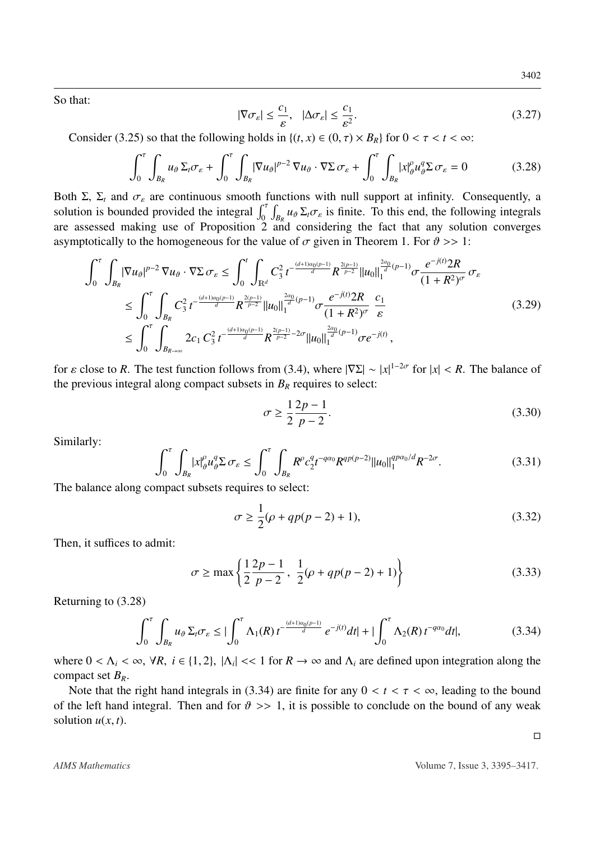So that:

$$
|\nabla \sigma_{\varepsilon}| \le \frac{c_1}{\varepsilon}, \quad |\Delta \sigma_{\varepsilon}| \le \frac{c_1}{\varepsilon^2}.
$$

Consider [\(3.25\)](#page-6-1) so that the following holds in  $\{(t, x) \in (0, \tau) \times B_R\}$  for  $0 < \tau < t < \infty$ :

<span id="page-7-0"></span>
$$
\int_0^{\tau} \int_{B_R} u_{\vartheta} \Sigma_t \sigma_{\varepsilon} + \int_0^{\tau} \int_{B_R} |\nabla u_{\vartheta}|^{p-2} \nabla u_{\vartheta} \cdot \nabla \Sigma \sigma_{\varepsilon} + \int_0^{\tau} \int_{B_R} |x|_{\vartheta}^{\rho} u_{\vartheta}^{\vartheta} \Sigma \sigma_{\varepsilon} = 0 \tag{3.28}
$$

Both Σ, Σ<sub>t</sub> and  $\sigma_{\varepsilon}$  are continuous smooth functions with null support at infinity. Consequently, a solution is bounded provided the integral  $\int_0^{\tau} \int_{B_R} u_{\theta} \Sigma_t \sigma_{\varepsilon}$  is finite. To this end, the following integrals<br>are assessed making use of Proposition 2 and considering the fact that any solution converges are assessed making use of Proposition  $2 \text{ and }$  $2 \text{ and }$  considering the fact that any solution converges asymptotically to the homogeneous for the value of  $\sigma$  given in Theorem [1.](#page-3-1) For  $\vartheta \gg 1$ :

$$
\int_{0}^{\tau} \int_{B_{R}} |\nabla u_{\theta}|^{p-2} \nabla u_{\theta} \cdot \nabla \Sigma \sigma_{\varepsilon} \leq \int_{0}^{t} \int_{\mathbb{R}^{d}} C_{3}^{2} t^{-\frac{(d+1)\alpha_{0}(p-1)}{d}} R^{\frac{2(p-1)}{p-2}} ||u_{0}||_{1}^{\frac{2\alpha_{0}}{d}(p-1)} \sigma \frac{e^{-j(t)} 2R}{(1+R^{2})^{\sigma}} \sigma_{\varepsilon}
$$
\n
$$
\leq \int_{0}^{\tau} \int_{B_{R}} C_{3}^{2} t^{-\frac{(d+1)\alpha_{0}(p-1)}{d}} R^{\frac{2(p-1)}{p-2}} ||u_{0}||_{1}^{\frac{2\alpha_{0}}{d}(p-1)} \sigma \frac{e^{-j(t)} 2R}{(1+R^{2})^{\sigma}} \frac{c_{1}}{\varepsilon}
$$
\n
$$
\leq \int_{0}^{\tau} \int_{B_{R\to\infty}} 2c_{1} C_{3}^{2} t^{-\frac{(d+1)\alpha_{0}(p-1)}{d}} R^{\frac{2(p-1)}{p-2} - 2\sigma} ||u_{0}||_{1}^{\frac{2\alpha_{0}}{d}(p-1)} \sigma e^{-j(t)}, \qquad (3.29)
$$

for  $\varepsilon$  close to *R*. The test function follows from [\(3.4\)](#page-4-4), where  $|\nabla \Sigma| \sim |x|^{1-2\sigma}$  for  $|x| < R$ . The balance of the previous integral along compact subsets in *R<sub>p</sub>* requires to select: the previous integral along compact subsets in  $B_R$  requires to select:

$$
\sigma \ge \frac{1}{2} \frac{2p-1}{p-2}.
$$
\n(3.30)

Similarly:

$$
\int_0^\tau \int_{B_R} |x|_{\vartheta}^\rho u_{\vartheta}^q \Sigma \sigma_{\varepsilon} \le \int_0^\tau \int_{B_R} R^\rho c_2^q t^{-q\alpha_0} R^{qp(p-2)} \|u_0\|_1^{qp\alpha_0/d} R^{-2\sigma}.
$$
\n(3.31)

The balance along compact subsets requires to select:

$$
\sigma \ge \frac{1}{2}(\rho + qp(p - 2) + 1),\tag{3.32}
$$

Then, it suffices to admit:

$$
\sigma \ge \max\left\{\frac{1}{2}\frac{2p-1}{p-2}, \frac{1}{2}(\rho + qp(p-2) + 1)\right\} \tag{3.33}
$$

Returning to [\(3.28\)](#page-7-0)

<span id="page-7-1"></span>
$$
\int_0^{\tau} \int_{B_R} u_{\theta} \Sigma_t \sigma_{\varepsilon} \leq \left| \int_0^{\tau} \Lambda_1(R) t^{-\frac{(d+1)\alpha_0(p-1)}{d}} e^{-j(t)} dt \right| + \left| \int_0^{\tau} \Lambda_2(R) t^{-q\alpha_0} dt \right|, \tag{3.34}
$$

where  $0 < \Lambda_i < \infty$ ,  $\forall R, i \in \{1, 2\}, |\Lambda_i| << 1$  for  $R \to \infty$  and  $\Lambda_i$  are defined upon integration along the compact set  $R_i$ compact set *BR*.

Note that the right hand integrals in [\(3.34\)](#page-7-1) are finite for any  $0 < t < \tau < \infty$ , leading to the bound of the left hand integral. Then and for  $\vartheta \gg 1$ , it is possible to conclude on the bound of any weak solution  $u(x, t)$ .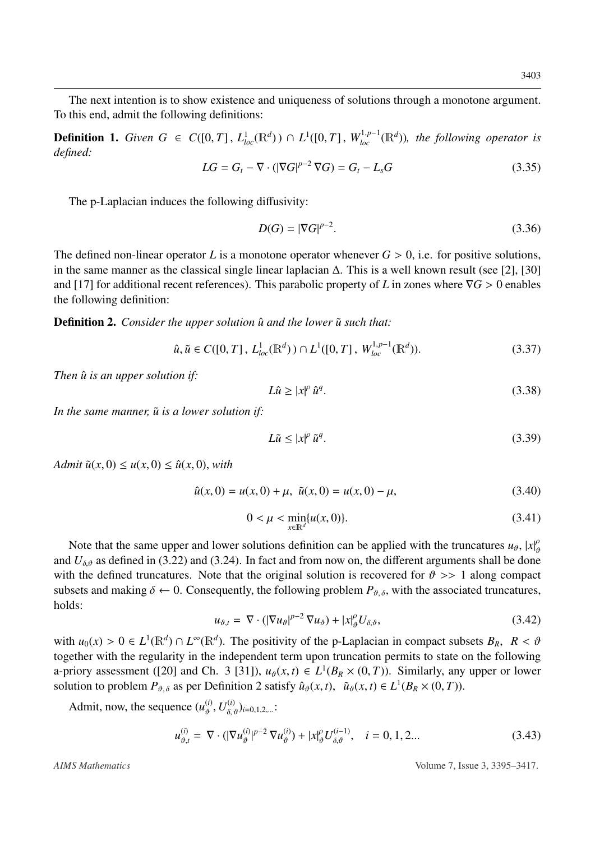The next intention is to show existence and uniqueness of solutions through a monotone argument. To this end, admit the following definitions:

<span id="page-8-4"></span>**Definition 1.** *Given G* ∈ *C*([0, *T*],  $L^1_{loc}(\mathbb{R}^d)$ ) ∩  $L^1([0, T]$ ,  $W^{1,p-1}_{loc}(\mathbb{R}^d)$ ), the following operator is defined: *defined:*

$$
LG = G_t - \nabla \cdot (|\nabla G|^{p-2} \nabla G) = G_t - L_s G \tag{3.35}
$$

The p-Laplacian induces the following diffusivity:

$$
D(G) = |\nabla G|^{p-2}.\tag{3.36}
$$

The defined non-linear operator *L* is a monotone operator whenever  $G > 0$ , i.e. for positive solutions, in the same manner as the classical single linear laplacian ∆. This is a well known result (see [\[2\]](#page-20-8), [\[30\]](#page-22-7) and [\[17\]](#page-21-15) for additional recent references). This parabolic property of *<sup>L</sup>* in zones where <sup>∇</sup>*<sup>G</sup>* > 0 enables the following definition:

<span id="page-8-0"></span>**Definition 2.** *Consider the upper solution*  $\hat{u}$  *and the lower*  $\tilde{u}$  *such that:* 

<span id="page-8-3"></span>
$$
\hat{u}, \tilde{u} \in C([0, T], L_{loc}^1(\mathbb{R}^d)) \cap L^1([0, T], W_{loc}^{1, p-1}(\mathbb{R}^d)).
$$
\n(3.37)

*Then*  $\hat{u}$  *is an upper solution if:* 

$$
L\hat{u} \ge |x|^{\rho} \hat{u}^{q}.
$$
 (3.38)

*In the same manner,*  $\tilde{u}$  *is a lower solution if:* 

$$
L\tilde{u} \le |x|^\rho \tilde{u}^q. \tag{3.39}
$$

*Admit*  $\tilde{u}(x, 0) \leq u(x, 0) \leq \hat{u}(x, 0)$ , *with* 

<span id="page-8-5"></span>
$$
\hat{u}(x,0) = u(x,0) + \mu, \ \tilde{u}(x,0) = u(x,0) - \mu,
$$
\n(3.40)

$$
0 < \mu < \min_{x \in \mathbb{R}^d} \{u(x, 0)\}.\tag{3.41}
$$

Note that the same upper and lower solutions definition can be applied with the truncatures  $u_{\theta}$ ,  $|x|_{\theta}^{\rho}$ and  $U_{\delta,\vartheta}$  as defined in [\(3.22\)](#page-6-2) and [\(3.24\)](#page-6-3). In fact and from now on, the different arguments shall be done with the defined truncatures. Note that the original solution is recovered for  $\vartheta >> 1$  along compact subsets and making  $\delta \leftarrow 0$ . Consequently, the following problem  $P_{\vartheta,\delta}$ , with the associated truncatures, holds:

<span id="page-8-2"></span>
$$
u_{\vartheta,t} = \nabla \cdot (|\nabla u_{\vartheta}|^{p-2} \nabla u_{\vartheta}) + |x|_{\vartheta}^{\rho} U_{\delta,\vartheta}, \tag{3.42}
$$

with  $u_0(x) > 0 \in L^1(\mathbb{R}^d) \cap L^{\infty}(\mathbb{R}^d)$ . The positivity of the p-Laplacian in compact subsets  $B_R$ ,  $R < \vartheta$  together with the reqularity in the independent term upon truncation permits to state on the following together with the regularity in the independent term upon truncation permits to state on the following a-priory assessment ([\[20\]](#page-21-16) and Ch. 3 [\[31\]](#page-22-8)),  $u_{\theta}(x, t) \in L^1(B_R \times (0, T))$ . Similarly, any upper or lower<br>solution to problem  $P_{\theta}$  as per Definition 2 satisfy  $\hat{u}_{\theta}(x, t) - \tilde{u}_{\theta}(x, t) \in L^1(B_{\theta} \times (0, T))$ . solution to problem  $P_{\vartheta, \delta}$  as per Definition [2](#page-8-0) satisfy  $\hat{u}_{\vartheta}(x, t)$ ,  $\tilde{u}_{\vartheta}(x, t) \in L^1(B_R \times (0, T))$ .

Admit, now, the sequence  $(u_{\vartheta}^{(i)}, U_{\delta, \vartheta}^{(i)})_{i=0,1,2,...}$ :

<span id="page-8-1"></span>
$$
u_{\vartheta,t}^{(i)} = \nabla \cdot (|\nabla u_{\vartheta}^{(i)}|^{p-2} \nabla u_{\vartheta}^{(i)}) + |x|_{\vartheta}^{\rho} U_{\delta,\vartheta}^{(i-1)}, \quad i = 0, 1, 2... \tag{3.43}
$$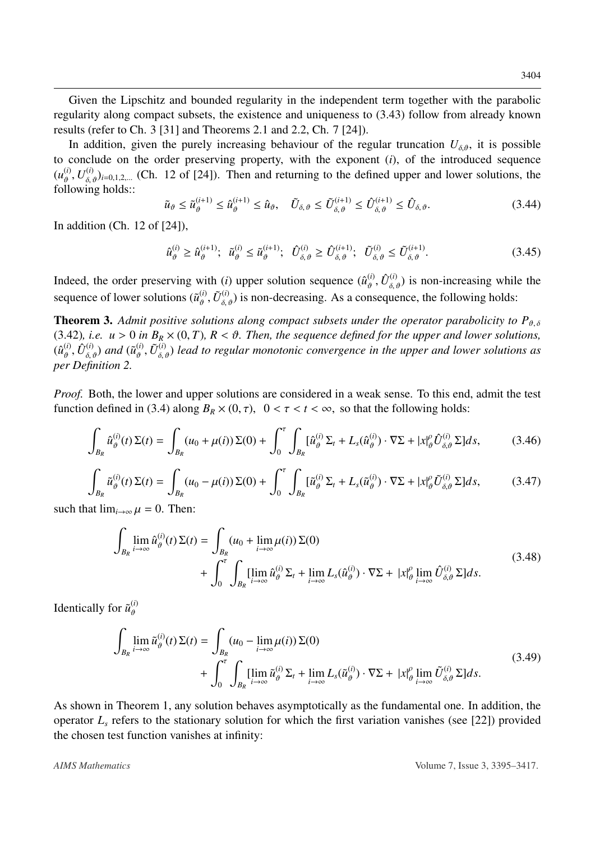Given the Lipschitz and bounded regularity in the independent term together with the parabolic regularity along compact subsets, the existence and uniqueness to [\(3.43\)](#page-8-1) follow from already known results (refer to Ch. 3 [\[31\]](#page-22-8) and Theorems 2.1 and 2.2, Ch. 7 [\[24\]](#page-21-13)).

In addition, given the purely increasing behaviour of the regular truncation  $U_{\delta,\vartheta}$ , it is possible to conclude on the order preserving property, with the exponent (*i*), of the introduced sequence  $(u_{\theta}^{(i)}, U_{\delta, \theta}^{(i)})_{i=0,1,2,...}$  (Ch. 12 of [\[24\]](#page-21-13)). Then and returning to the defined upper and lower solutions, the following holds: following holds::

$$
\tilde{u}_{\vartheta} \le \tilde{u}_{\vartheta}^{(i+1)} \le \hat{u}_{\vartheta}^{(i+1)} \le \hat{u}_{\vartheta}, \quad \tilde{U}_{\delta,\vartheta} \le \tilde{U}_{\delta,\vartheta}^{(i+1)} \le \hat{U}_{\delta,\vartheta}^{(i+1)} \le \hat{U}_{\delta,\vartheta}.
$$
\n(3.44)

In addition (Ch. 12 of [\[24\]](#page-21-13)),

$$
\hat{u}_{\vartheta}^{(i)} \ge \hat{u}_{\vartheta}^{(i+1)}; \quad \tilde{u}_{\vartheta}^{(i)} \le \tilde{u}_{\vartheta}^{(i+1)}; \quad \hat{U}_{\delta,\vartheta}^{(i)} \ge \hat{U}_{\delta,\vartheta}^{(i+1)}; \quad \tilde{U}_{\delta,\vartheta}^{(i)} \le \tilde{U}_{\delta,\vartheta}^{(i+1)}.
$$
\n(3.45)

Indeed, the order preserving with (*i*) upper solution sequence  $(\hat{u}_{\theta}^{(i)}, \hat{U}_{\delta,\theta}^{(i)})$  is non-increasing while the sequence of lower solutions  $(\tilde{u}_{\vartheta}^{(i)}, \tilde{U}_{\delta,\vartheta}^{(i)})$  is non-decreasing. As a consequence, the following holds:

**Theorem 3.** Admit positive solutions along compact subsets under the operator parabolicity to  $P_{\vartheta,\delta}$ [\(3.42\)](#page-8-2), *i.e.*  $u > 0$  *in*  $B_R \times (0, T)$ ,  $R < \vartheta$ . Then, the sequence defined for the upper and lower solutions,  $(\hat{u}_{\vartheta}^{(i)}, \hat{U}_{\delta, \vartheta}^{(i)})$  and  $(\tilde{u}_{\vartheta}^{(i)})$ <br>per Definition 2 ϑ *per Definition [2.](#page-8-0)*  $(\hat{U}, \tilde{U}_{\delta,\vartheta}^{(i)})$  *lead to regular monotonic convergence in the upper and lower solutions as* 

*Proof.* Both, the lower and upper solutions are considered in a weak sense. To this end, admit the test function defined in [\(3.4\)](#page-4-4) along  $B_R \times (0, \tau)$ ,  $0 < \tau < t < \infty$ , so that the following holds:

$$
\int_{B_R} \hat{u}_{\vartheta}^{(i)}(t) \Sigma(t) = \int_{B_R} (u_0 + \mu(i)) \Sigma(0) + \int_0^{\tau} \int_{B_R} [\hat{u}_{\vartheta}^{(i)} \Sigma_t + L_s(\hat{u}_{\vartheta}^{(i)}) \cdot \nabla \Sigma + |x|_{\vartheta}^{\rho} \hat{U}_{\delta, \vartheta}^{(i)} \Sigma] ds,
$$
(3.46)

$$
\int_{B_R} \tilde{u}_{\vartheta}^{(i)}(t) \Sigma(t) = \int_{B_R} (u_0 - \mu(i)) \Sigma(0) + \int_0^{\tau} \int_{B_R} [\tilde{u}_{\vartheta}^{(i)} \Sigma_t + L_s(\tilde{u}_{\vartheta}^{(i)}) \cdot \nabla \Sigma + |x|_{\vartheta}^{\rho} \tilde{U}_{\delta, \vartheta}^{(i)} \Sigma] ds,
$$
(3.47)

such that  $\lim_{i\to\infty}\mu=0$ . Then:

$$
\int_{B_R} \lim_{i \to \infty} \hat{u}_{\vartheta}^{(i)}(t) \Sigma(t) = \int_{B_R} (u_0 + \lim_{i \to \infty} \mu(i)) \Sigma(0)
$$
\n
$$
+ \int_0^{\tau} \int_{B_R} [\lim_{i \to \infty} \hat{u}_{\vartheta}^{(i)} \Sigma_t + \lim_{i \to \infty} L_s(\hat{u}_{\vartheta}^{(i)}) \cdot \nabla \Sigma + |x|_{\vartheta}^{\rho} \lim_{i \to \infty} \hat{U}_{\delta, \vartheta}^{(i)} \Sigma] ds. \tag{3.48}
$$

Identically for  $\tilde{u}_{\vartheta}^{(i)}$ 

$$
\int_{B_R} \lim_{i \to \infty} \tilde{u}_{\vartheta}^{(i)}(t) \Sigma(t) = \int_{B_R} (u_0 - \lim_{i \to \infty} \mu(i)) \Sigma(0)
$$
\n
$$
+ \int_0^{\tau} \int_{B_R} [\lim_{i \to \infty} \tilde{u}_{\vartheta}^{(i)} \Sigma_t + \lim_{i \to \infty} L_s(\tilde{u}_{\vartheta}^{(i)}) \cdot \nabla \Sigma + |x|_{\vartheta}^{\rho} \lim_{i \to \infty} \tilde{U}_{\delta, \vartheta}^{(i)} \Sigma] ds.
$$
\n(3.49)

As shown in Theorem [1,](#page-3-1) any solution behaves asymptotically as the fundamental one. In addition, the operator *L<sup>s</sup>* refers to the stationary solution for which the first variation vanishes (see [\[22\]](#page-21-17)) provided the chosen test function vanishes at infinity: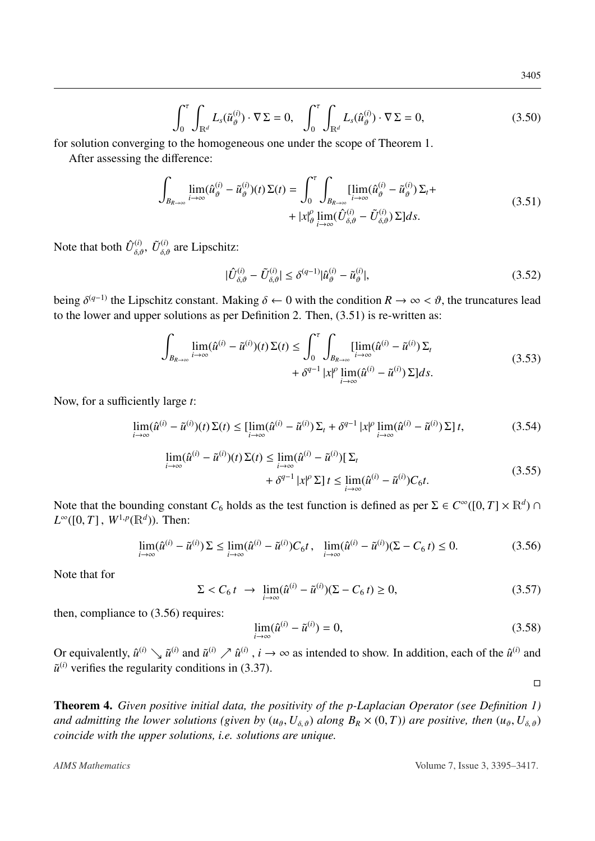$$
\int_0^{\tau} \int_{\mathbb{R}^d} L_s(\tilde{u}_{\vartheta}^{(i)}) \cdot \nabla \Sigma = 0, \quad \int_0^{\tau} \int_{\mathbb{R}^d} L_s(\hat{u}_{\vartheta}^{(i)}) \cdot \nabla \Sigma = 0,
$$
\n(3.50)

for solution converging to the homogeneous one under the scope of Theorem [1.](#page-3-1)

<span id="page-10-0"></span>After assessing the difference:

$$
\int_{B_{R\to\infty}} \lim_{i\to\infty} (\hat{u}_{\vartheta}^{(i)} - \tilde{u}_{\vartheta}^{(i)})(t) \Sigma(t) = \int_0^{\tau} \int_{B_{R\to\infty}} \lim_{i\to\infty} (\hat{u}_{\vartheta}^{(i)} - \tilde{u}_{\vartheta}^{(i)}) \Sigma_t +
$$
\n
$$
+ |x|_{\vartheta}^{\rho} \lim_{i\to\infty} (\hat{U}_{\delta,\vartheta}^{(i)} - \tilde{U}_{\delta,\vartheta}^{(i)}) \Sigma] ds.
$$
\n(3.51)

Note that both  $\hat{U}_{\delta,\vartheta}^{(i)}$ ,  $\tilde{U}_{\delta,\vartheta}^{(i)}$  are Lipschitz:

<span id="page-10-2"></span>
$$
|\hat{U}_{\delta,\vartheta}^{(i)} - \tilde{U}_{\delta,\vartheta}^{(i)}| \le \delta^{(q-1)} |\hat{u}_{\vartheta}^{(i)} - \tilde{u}_{\vartheta}^{(i)}|,\tag{3.52}
$$

being  $\delta^{(q-1)}$  the Lipschitz constant. Making  $\delta \leftarrow 0$  with the condition  $R \rightarrow \infty < \vartheta$ , the truncatures lead to the lower and upper solutions as per Definition [2.](#page-8-0) Then, [\(3.51\)](#page-10-0) is re-written as:

$$
\int_{B_{R\to\infty}} \lim_{i\to\infty} (\hat{u}^{(i)} - \tilde{u}^{(i)})(t) \Sigma(t) \le \int_0^{\tau} \int_{B_{R\to\infty}} \lim_{i\to\infty} (\hat{u}^{(i)} - \tilde{u}^{(i)}) \Sigma_t + \delta^{q-1} |x|^\rho \lim_{i\to\infty} (\hat{u}^{(i)} - \tilde{u}^{(i)}) \Sigma] ds.
$$
\n(3.53)

Now, for a sufficiently large *t*:

$$
\lim_{i \to \infty} (\hat{u}^{(i)} - \tilde{u}^{(i)})(t) \Sigma(t) \leq \lim_{i \to \infty} (\hat{u}^{(i)} - \tilde{u}^{(i)}) \Sigma_t + \delta^{q-1} |x|^\rho \lim_{i \to \infty} (\hat{u}^{(i)} - \tilde{u}^{(i)}) \Sigma] t,
$$
\n(3.54)

$$
\lim_{i \to \infty} (\hat{u}^{(i)} - \tilde{u}^{(i)})(t) \Sigma(t) \le \lim_{i \to \infty} (\hat{u}^{(i)} - \tilde{u}^{(i)}) [\Sigma_t + \delta^{q-1} |x|^\rho \Sigma] t \le \lim_{i \to \infty} (\hat{u}^{(i)} - \tilde{u}^{(i)}) C_6 t.
$$
\n(3.55)

Note that the bounding constant  $C_6$  holds as the test function is defined as per  $\Sigma \in C^\infty([0, T] \times \mathbb{R}^d) \cap$ <br> $I^\infty([0, T] \times \mathbb{R}^d)$  Then:  $L^{\infty}([0, T], W^{1, p}(\mathbb{R}^d))$ . Then:

<span id="page-10-1"></span>
$$
\lim_{i \to \infty} (\hat{u}^{(i)} - \tilde{u}^{(i)}) \Sigma \le \lim_{i \to \infty} (\hat{u}^{(i)} - \tilde{u}^{(i)}) C_6 t, \quad \lim_{i \to \infty} (\hat{u}^{(i)} - \tilde{u}^{(i)}) (\Sigma - C_6 t) \le 0.
$$
 (3.56)

Note that for

$$
\Sigma < C_6 \, t \to \lim_{i \to \infty} (\hat{u}^{(i)} - \tilde{u}^{(i)}) (\Sigma - C_6 \, t) \ge 0,\tag{3.57}
$$

then, compliance to [\(3.56\)](#page-10-1) requires:

$$
\lim_{i \to \infty} (\hat{u}^{(i)} - \tilde{u}^{(i)}) = 0,\tag{3.58}
$$

Or equivalently,  $\hat{u}^{(i)} \searrow \tilde{u}^{(i)}$  and  $\tilde{u}^{(i)} \nearrow \hat{u}^{(i)}$ ,  $i \to \infty$  as intended to show. In addition, each of the  $\hat{u}^{(i)}$  and  $\tilde{u}^{(i)}$  verifies the regularity conditions in [\(3.37\)](#page-8-3).

 $\Box$ 

Theorem 4. *Given positive initial data, the positivity of the p-Laplacian Operator (see Definition [1\)](#page-8-4) and admitting the lower solutions (given by*  $(u_{\vartheta}, U_{\delta, \vartheta})$  *along*  $B_R \times (0, T)$ *) are positive, then*  $(u_{\vartheta}, U_{\delta, \vartheta})$ *coincide with the upper solutions, i.e. solutions are unique.*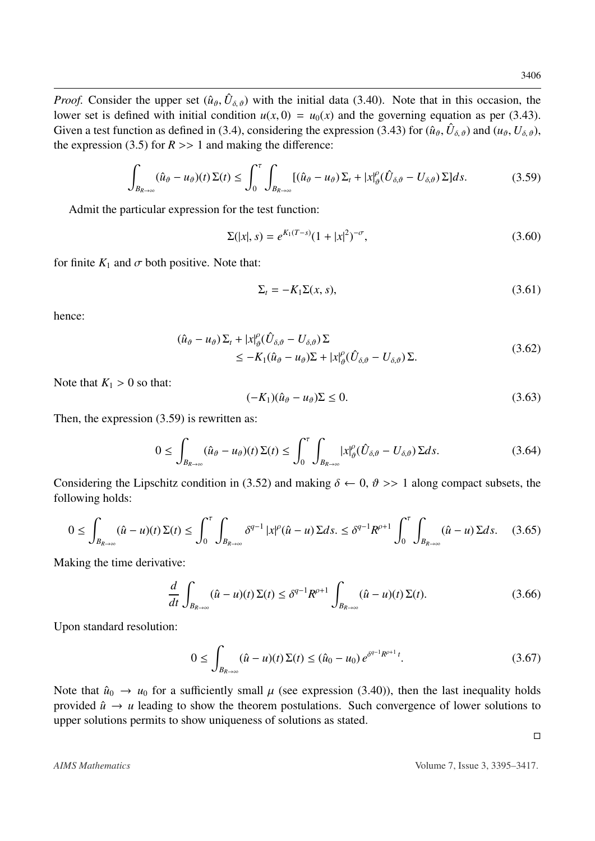*Proof.* Consider the upper set  $(\hat{u}_{\theta}, \hat{U}_{\delta,\theta})$  with the initial data [\(3.40\)](#page-8-5). Note that in this occasion, the lower set is defined with initial condition  $u(x, 0) = u(x)$  and the governing equation as per (3.43) lower set is defined with initial condition  $u(x, 0) = u_0(x)$  and the governing equation as per [\(3.43\)](#page-8-1). Given a test function as defined in [\(3.4\)](#page-4-4), considering the expression [\(3.43\)](#page-8-1) for  $(\hat{u}_{\vartheta}, \hat{U}_{\delta, \vartheta})$  and  $(u_{\vartheta}, U_{\delta, \vartheta})$ , the expression (3.5) for  $R > 1$  and making the difference: the expression [\(3.5\)](#page-4-2) for  $R \gg 1$  and making the difference:

$$
\int_{B_{R\to\infty}} (\hat{u}_{\vartheta} - u_{\vartheta})(t) \Sigma(t) \le \int_0^{\tau} \int_{B_{R\to\infty}} [(\hat{u}_{\vartheta} - u_{\vartheta}) \Sigma_t + |x|_{\vartheta}^{\rho} (\hat{U}_{\delta,\vartheta} - U_{\delta,\vartheta}) \Sigma] ds.
$$
 (3.59)

<span id="page-11-0"></span>Admit the particular expression for the test function:

<span id="page-11-1"></span>
$$
\Sigma(|x|, s) = e^{K_1(T-s)}(1+|x|^2)^{-\sigma},\tag{3.60}
$$

for finite  $K_1$  and  $\sigma$  both positive. Note that:

$$
\Sigma_t = -K_1 \Sigma(x, s),\tag{3.61}
$$

hence:

$$
(\hat{u}_{\vartheta} - u_{\vartheta}) \Sigma_t + |x|_{\vartheta}^{\rho} (\hat{U}_{\delta,\vartheta} - U_{\delta,\vartheta}) \Sigma \n\leq -K_1 (\hat{u}_{\vartheta} - u_{\vartheta}) \Sigma + |x|_{\vartheta}^{\rho} (\hat{U}_{\delta,\vartheta} - U_{\delta,\vartheta}) \Sigma.
$$
\n(3.62)

Note that  $K_1 > 0$  so that:

$$
(-K_1)(\hat{u}_{\vartheta} - u_{\vartheta})\Sigma \le 0. \tag{3.63}
$$

Then, the expression [\(3.59\)](#page-11-0) is rewritten as:

$$
0 \leq \int_{B_{R\to\infty}} (\hat{u}_{\vartheta} - u_{\vartheta})(t) \Sigma(t) \leq \int_0^{\tau} \int_{B_{R\to\infty}} |x|_{\vartheta}^{\rho} (\hat{U}_{\delta,\vartheta} - U_{\delta,\vartheta}) \Sigma ds. \tag{3.64}
$$

Considering the Lipschitz condition in [\(3.52\)](#page-10-2) and making  $\delta \leftarrow 0$ ,  $\vartheta \gg 1$  along compact subsets, the following holds:

$$
0 \leq \int_{B_{R\to\infty}} (\hat{u} - u)(t) \Sigma(t) \leq \int_0^{\tau} \int_{B_{R\to\infty}} \delta^{q-1} |x|^{\rho} (\hat{u} - u) \Sigma ds. \leq \delta^{q-1} R^{\rho+1} \int_0^{\tau} \int_{B_{R\to\infty}} (\hat{u} - u) \Sigma ds. \tag{3.65}
$$

Making the time derivative:

$$
\frac{d}{dt} \int_{B_{R\to\infty}} (\hat{u} - u)(t) \Sigma(t) \le \delta^{q-1} R^{\rho+1} \int_{B_{R\to\infty}} (\hat{u} - u)(t) \Sigma(t).
$$
\n(3.66)

Upon standard resolution:

$$
0 \le \int_{B_{R\to\infty}} (\hat{u} - u)(t) \Sigma(t) \le (\hat{u}_0 - u_0) e^{\delta^{q-1} R^{\rho+1} t}.
$$
 (3.67)

Note that  $\hat{u}_0 \rightarrow u_0$  for a sufficiently small  $\mu$  (see expression [\(3.40\)](#page-8-5)), then the last inequality holds provided  $\hat{u} \rightarrow u$  leading to show the theorem postulations. Such convergence of lower solutions to upper solutions permits to show uniqueness of solutions as stated.

 $\Box$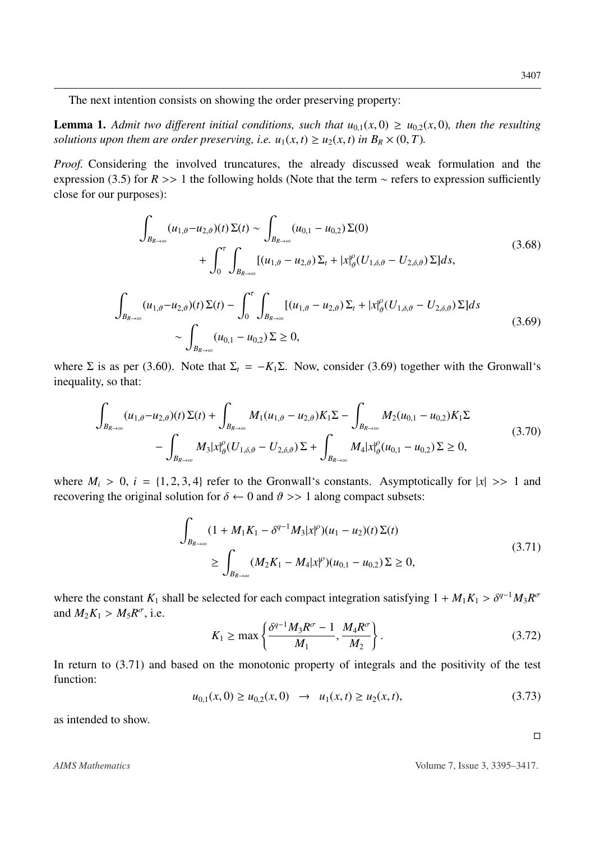The next intention consists on showing the order preserving property:

**Lemma 1.** Admit two different initial conditions, such that  $u_{0,1}(x,0) \ge u_{0,2}(x,0)$ , then the resulting *solutions upon them are order preserving, i.e.*  $u_1(x, t) \ge u_2(x, t)$  *in*  $B_R \times (0, T)$ *.* 

*Proof.* Considering the involved truncatures, the already discussed weak formulation and the expression [\(3.5\)](#page-4-2) for  $R \gg 1$  the following holds (Note that the term  $\sim$  refers to expression sufficiently close for our purposes):

$$
\int_{B_{R\to\infty}} (u_{1,\vartheta} - u_{2,\vartheta})(t) \Sigma(t) \sim \int_{B_{R\to\infty}} (u_{0,1} - u_{0,2}) \Sigma(0)
$$
\n
$$
+ \int_0^{\tau} \int_{B_{R\to\infty}} [(u_{1,\vartheta} - u_{2,\vartheta}) \Sigma_t + |x|_{\vartheta}^{\rho} (U_{1,\delta,\vartheta} - U_{2,\delta,\vartheta}) \Sigma] ds,
$$
\n
$$
\int_{B_{R\to\infty}} (u_{1,\vartheta} - u_{2,\vartheta})(t) \Sigma(t) - \int_0^{\tau} \int_{B_{R\to\infty}} [(u_{1,\vartheta} - u_{2,\vartheta}) \Sigma_t + |x|_{\vartheta}^{\rho} (U_{1,\delta,\vartheta} - U_{2,\delta,\vartheta}) \Sigma] ds
$$
\n
$$
\sim \int_{B_{R\to\infty}} (u_{0,1} - u_{0,2}) \Sigma \ge 0,
$$
\n(3.69)

<span id="page-12-0"></span>where  $\Sigma$  is as per [\(3.60\)](#page-11-1). Note that  $\Sigma_t = -K_1 \Sigma$ . Now, consider [\(3.69\)](#page-12-0) together with the Gronwall's inequality, so that:

$$
\int_{B_{R\to\infty}} (u_{1,\vartheta} - u_{2,\vartheta})(t) \Sigma(t) + \int_{B_{R\to\infty}} M_1(u_{1,\vartheta} - u_{2,\vartheta}) K_1 \Sigma - \int_{B_{R\to\infty}} M_2(u_{0,1} - u_{0,2}) K_1 \Sigma
$$
\n
$$
- \int_{B_{R\to\infty}} M_3 |x|_{\vartheta}^{\rho} (U_{1,\delta,\vartheta} - U_{2,\delta,\vartheta}) \Sigma + \int_{B_{R\to\infty}} M_4 |x|_{\vartheta}^{\rho} (u_{0,1} - u_{0,2}) \Sigma \ge 0,
$$
\n(3.70)

where  $M_i > 0$ ,  $i = \{1, 2, 3, 4\}$  refer to the Gronwall's constants. Asymptotically for  $|x| \gg 1$  and recovering the original solution for  $\delta \leftarrow 0$  and  $\vartheta >> 1$  along compact subsets:

$$
\int_{B_{R\to\infty}} (1 + M_1 K_1 - \delta^{q-1} M_3 |x|^{\rho}) (u_1 - u_2)(t) \Sigma(t)
$$
\n
$$
\geq \int_{B_{R\to\infty}} (M_2 K_1 - M_4 |x|^{\rho}) (u_{0,1} - u_{0,2}) \Sigma \geq 0,
$$
\n(3.71)

<span id="page-12-1"></span>where the constant  $K_1$  shall be selected for each compact integration satisfying  $1 + M_1K_1 > \delta^{q-1}M_3R^{\sigma}$ <br>and  $M_2K_1 > M_2R^{\sigma}$  i.e. and  $M_2K_1 > M_5R^{\sigma}$ , i.e.

$$
K_1 \ge \max\left\{\frac{\delta^{q-1}M_3R^{\sigma}-1}{M_1}, \frac{M_4R^{\sigma}}{M_2}\right\}.
$$
 (3.72)

In return to  $(3.71)$  and based on the monotonic property of integrals and the positivity of the test function:

$$
u_{0,1}(x,0) \ge u_{0,2}(x,0) \quad \to \quad u_1(x,t) \ge u_2(x,t),\tag{3.73}
$$

as intended to show.

 $\Box$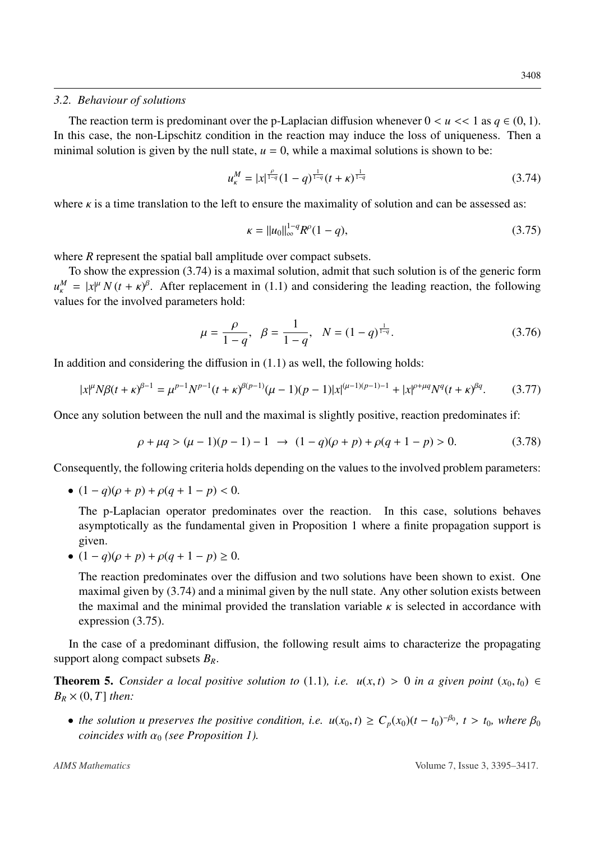#### <span id="page-13-0"></span>*3.2. Behaviour of solutions*

The reaction term is predominant over the p-Laplacian diffusion whenever  $0 < u < 1$  as  $q \in (0, 1)$ . In this case, the non-Lipschitz condition in the reaction may induce the loss of uniqueness. Then a minimal solution is given by the null state,  $u = 0$ , while a maximal solutions is shown to be:

<span id="page-13-1"></span>
$$
u_{\kappa}^{M} = |x|^{\frac{\rho}{1-q}} (1-q)^{\frac{1}{1-q}} (t+\kappa)^{\frac{1}{1-q}}
$$
(3.74)

where  $\kappa$  is a time translation to the left to ensure the maximality of solution and can be assessed as:

<span id="page-13-2"></span>
$$
\kappa = ||u_0||_{\infty}^{1-q} R^{\rho} (1-q), \tag{3.75}
$$

where *R* represent the spatial ball amplitude over compact subsets.

To show the expression [\(3.74\)](#page-13-1) is a maximal solution, admit that such solution is of the generic form  $u_{\kappa}^{M} = |x|^{\mu} N (t + \kappa)^{\beta}$ . After replacement in [\(1.1\)](#page-2-1) and considering the leading reaction, the following values for the involved parameters hold: values for the involved parameters hold:

$$
\mu = \frac{\rho}{1 - q}, \ \ \beta = \frac{1}{1 - q}, \ \ N = (1 - q)^{\frac{1}{1 - q}}.
$$
\n(3.76)

In addition and considering the diffusion in  $(1.1)$  as well, the following holds:

$$
|x|^{\mu}N\beta(t+\kappa)^{\beta-1} = \mu^{p-1}N^{p-1}(t+\kappa)^{\beta(p-1)}(\mu-1)(p-1)|x|^{(\mu-1)(p-1)-1} + |x|^{p+\mu q}N^{q}(t+\kappa)^{\beta q}.\tag{3.77}
$$

Once any solution between the null and the maximal is slightly positive, reaction predominates if:

$$
\rho + \mu q > (\mu - 1)(p - 1) - 1 \rightarrow (1 - q)(\rho + p) + \rho(q + 1 - p) > 0.
$$
 (3.78)

Consequently, the following criteria holds depending on the values to the involved problem parameters:

•  $(1 - q)(\rho + p) + \rho(q + 1 - p) < 0.$ 

The p-Laplacian operator predominates over the reaction. In this case, solutions behaves asymptotically as the fundamental given in Proposition [1](#page-2-2) where a finite propagation support is given.

•  $(1 - q)(\rho + p) + \rho(q + 1 - p) \ge 0.$ 

The reaction predominates over the diffusion and two solutions have been shown to exist. One maximal given by [\(3.74\)](#page-13-1) and a minimal given by the null state. Any other solution exists between the maximal and the minimal provided the translation variable  $\kappa$  is selected in accordance with expression [\(3.75\)](#page-13-2).

In the case of a predominant diffusion, the following result aims to characterize the propagating support along compact subsets *BR*.

<span id="page-13-3"></span>**Theorem 5.** *Consider a local positive solution to* [\(1.1\)](#page-2-1)*, i.e.*  $u(x,t) > 0$  *in a given point*  $(x_0, t_0) \in$  $B_R \times (0, T]$  *then:* 

• *the solution u preserves the positive condition, i.e.*  $u(x_0, t) \ge C_p(x_0)(t - t_0)^{-\beta_0}$ ,  $t > t_0$ , where  $\beta_0$  coincides with  $\alpha_0$  (see Proposition 1) *coincides with*  $\alpha_0$  *(see Proposition [1\)](#page-2-2).*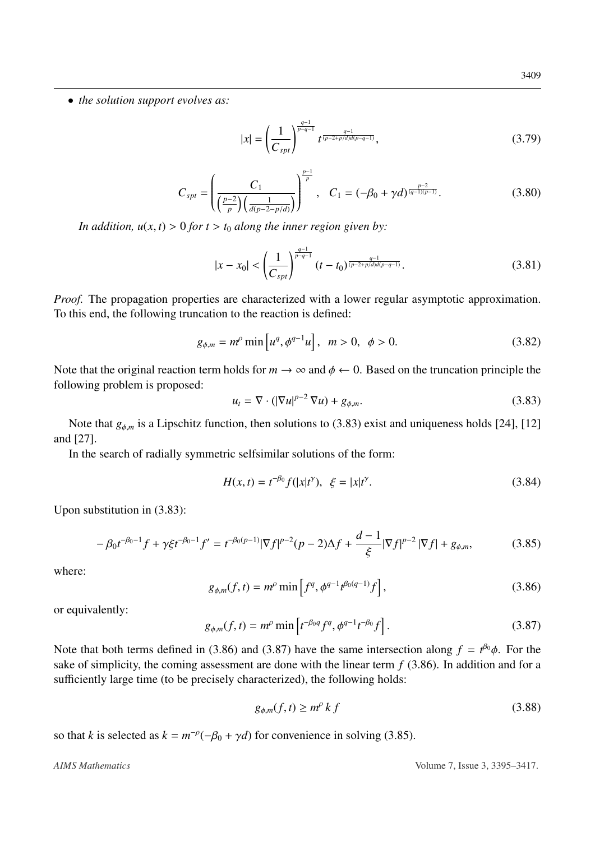• *the solution support evolves as:*

<span id="page-14-5"></span>
$$
|x| = \left(\frac{1}{C_{spt}}\right)^{\frac{q-1}{p-q-1}} t^{\frac{q-1}{(p-2+p/d)d(p-q-1)}},
$$
\n(3.79)

$$
C_{spt} = \left(\frac{C_1}{\left(\frac{p-2}{p}\right)\left(\frac{1}{d(p-2-p/d)}\right)}\right)^{\frac{p-1}{p}}, \quad C_1 = (-\beta_0 + \gamma d)^{\frac{p-2}{(q-1)(p-1)}}.
$$
 (3.80)

*In addition,*  $u(x, t) > 0$  *for*  $t > t_0$  *along the inner region given by:* 

$$
|x - x_0| < \left(\frac{1}{C_{spt}}\right)^{\frac{q-1}{p-q-1}} (t - t_0)^{\frac{q-1}{(p-2+p/d)d(p-q-1)}}.\tag{3.81}
$$

*Proof.* The propagation properties are characterized with a lower regular asymptotic approximation. To this end, the following truncation to the reaction is defined:

$$
g_{\phi,m} = m^{\rho} \min \left[ u^q, \phi^{q-1} u \right], \ \ m > 0, \ \ \phi > 0. \tag{3.82}
$$

Note that the original reaction term holds for  $m \to \infty$  and  $\phi \leftarrow 0$ . Based on the truncation principle the following problem is proposed:

<span id="page-14-0"></span>
$$
u_t = \nabla \cdot (|\nabla u|^{p-2} \nabla u) + g_{\phi,m}.
$$
 (3.83)

Note that  $g_{\phi,m}$  is a Lipschitz function, then solutions to [\(3.83\)](#page-14-0) exist and uniqueness holds [\[24\]](#page-21-13), [\[12\]](#page-21-14) and [\[27\]](#page-21-12).

In the search of radially symmetric selfsimilar solutions of the form:

$$
H(x,t) = t^{-\beta_0} f(|x|t^{\gamma}), \quad \xi = |x|t^{\gamma}.
$$
 (3.84)

Upon substitution in [\(3.83\)](#page-14-0):

<span id="page-14-3"></span>
$$
-\beta_0 t^{-\beta_0 - 1} f + \gamma \xi t^{-\beta_0 - 1} f' = t^{-\beta_0 (p-1)} |\nabla f|^{p-2} (p-2) \Delta f + \frac{d-1}{\xi} |\nabla f|^{p-2} |\nabla f| + g_{\phi, m},
$$
(3.85)

where:

<span id="page-14-1"></span>
$$
g_{\phi,m}(f,t) = m^{\rho} \min \left[ f^q, \phi^{q-1} t^{\beta_0(q-1)} f \right],
$$
 (3.86)

or equivalently:

<span id="page-14-2"></span>
$$
g_{\phi,m}(f,t) = m^{\rho} \min \left[ t^{-\beta_0 q} f^q, \phi^{q-1} t^{-\beta_0} f \right].
$$
 (3.87)

Note that both terms defined in [\(3.86\)](#page-14-1) and [\(3.87\)](#page-14-2) have the same intersection along  $f = t^{\beta_0}\phi$ . For the sake of simplicity the coming assessment are done with the linear term *f* (3.86). In addition and for a sake of simplicity, the coming assessment are done with the linear term *f* [\(3.86\)](#page-14-1). In addition and for a sufficiently large time (to be precisely characterized), the following holds:

<span id="page-14-4"></span>
$$
g_{\phi,m}(f,t) \ge m^{\rho} k f \tag{3.88}
$$

so that *k* is selected as  $k = m^{-\rho}(-\beta_0 + \gamma d)$  for convenience in solving [\(3.85\)](#page-14-3).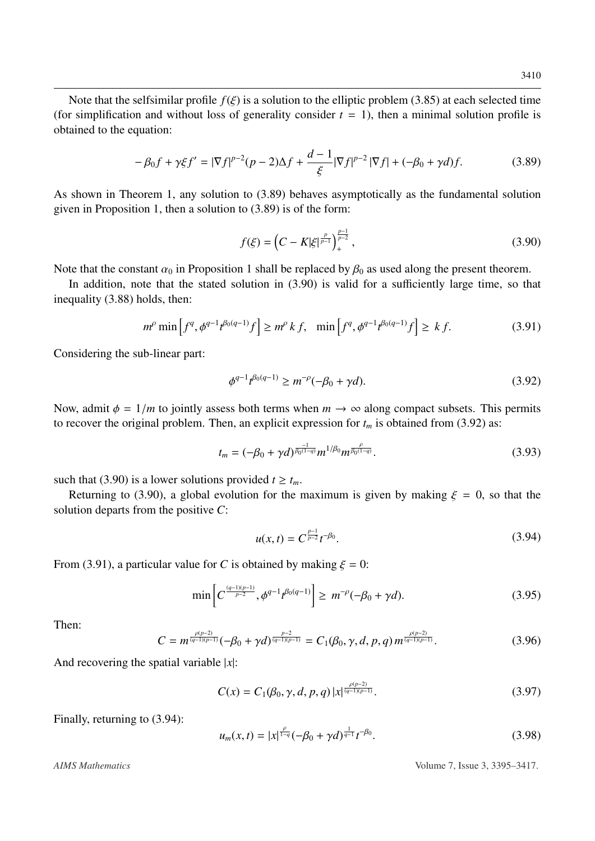Note that the selfsimilar profile  $f(\xi)$  is a solution to the elliptic problem [\(3.85\)](#page-14-3) at each selected time (for simplification and without loss of generality consider  $t = 1$ ), then a minimal solution profile is obtained to the equation:

<span id="page-15-0"></span>
$$
-\beta_0 f + \gamma \xi f' = |\nabla f|^{p-2} (p-2)\Delta f + \frac{d-1}{\xi} |\nabla f|^{p-2} |\nabla f| + (-\beta_0 + \gamma d) f. \tag{3.89}
$$

As shown in Theorem [1,](#page-3-1) any solution to [\(3.89\)](#page-15-0) behaves asymptotically as the fundamental solution given in Proposition [1,](#page-2-2) then a solution to [\(3.89\)](#page-15-0) is of the form:

<span id="page-15-1"></span>
$$
f(\xi) = \left(C - K|\xi|^{\frac{p}{p-1}}\right)_+^{\frac{p-1}{p-2}},\tag{3.90}
$$

Note that the constant  $\alpha_0$  in Proposition [1](#page-2-2) shall be replaced by  $\beta_0$  as used along the present theorem.

In addition, note that the stated solution in [\(3.90\)](#page-15-1) is valid for a sufficiently large time, so that inequality [\(3.88\)](#page-14-4) holds, then:

<span id="page-15-3"></span>
$$
m^{\rho} \min\left[f^{q}, \phi^{q-1} t^{\beta_0(q-1)} f\right] \ge m^{\rho} k f, \quad \min\left[f^{q}, \phi^{q-1} t^{\beta_0(q-1)} f\right] \ge k f. \tag{3.91}
$$

Considering the sub-linear part:

<span id="page-15-2"></span>
$$
\phi^{q-1}t^{\beta_0(q-1)} \ge m^{-\rho}(-\beta_0 + \gamma d). \tag{3.92}
$$

Now, admit  $\phi = 1/m$  to jointly assess both terms when  $m \to \infty$  along compact subsets. This permits to recover the original problem. Then, an explicit expression for  $t_m$  is obtained from [\(3.92\)](#page-15-2) as:

$$
t_m = (-\beta_0 + \gamma d)^{\frac{-1}{\beta_0(1-q)}} m^{1/\beta_0} m^{\frac{\rho}{\beta_0(1-q)}}.
$$
\n(3.93)

such that [\(3.90\)](#page-15-1) is a lower solutions provided  $t \geq t_m$ .

Returning to [\(3.90\)](#page-15-1), a global evolution for the maximum is given by making  $\xi = 0$ , so that the solution departs from the positive *C*:

<span id="page-15-4"></span>
$$
u(x,t) = C^{\frac{p-1}{p-2}} t^{-\beta_0}.
$$
\n(3.94)

From [\(3.91\)](#page-15-3), a particular value for *C* is obtained by making  $\xi = 0$ :

$$
\min\left[C^{\frac{(q-1)(p-1)}{p-2}}, \phi^{q-1}t^{\beta_0(q-1)}\right] \geq m^{-\rho}(-\beta_0 + \gamma d). \tag{3.95}
$$

Then:

$$
C = m^{\frac{\rho(p-2)}{(q-1)(p-1)}}(-\beta_0 + \gamma d)^{\frac{p-2}{(q-1)(p-1)}} = C_1(\beta_0, \gamma, d, p, q) m^{\frac{\rho(p-2)}{(q-1)(p-1)}}.
$$
 (3.96)

And recovering the spatial variable |*x*|:

$$
C(x) = C_1(\beta_0, \gamma, d, p, q) |x|^{\frac{\rho(p-2)}{(q-1)(p-1)}}.
$$
\n(3.97)

Finally, returning to [\(3.94\)](#page-15-4):

$$
u_m(x,t) = |x|^{\frac{\rho}{1-q}} (-\beta_0 + \gamma d)^{\frac{1}{q-1}} t^{-\beta_0}.
$$
\n(3.98)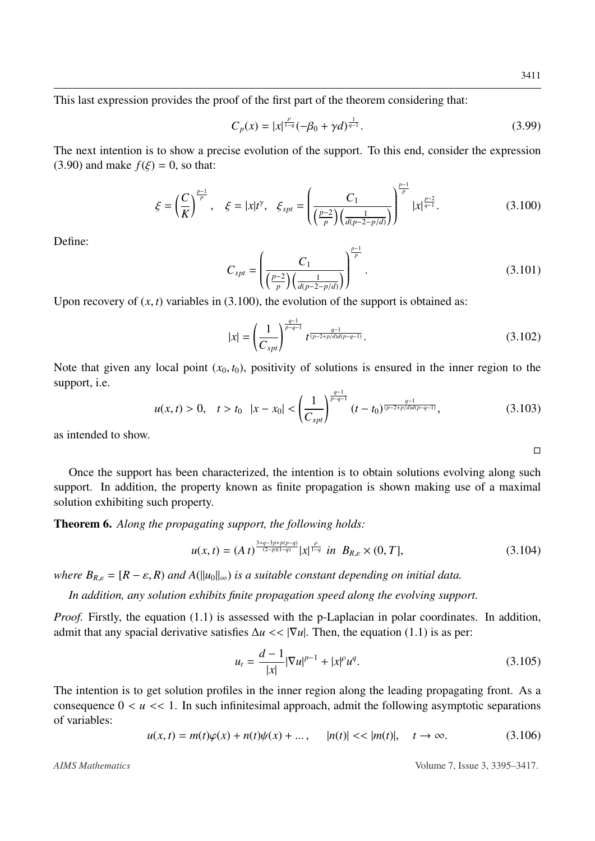$\Box$ 

This last expression provides the proof of the first part of the theorem considering that:

$$
C_p(x) = |x|^{\frac{\rho}{1-q}} (-\beta_0 + \gamma d)^{\frac{1}{q-1}}.
$$
\n(3.99)

*p*−1

The next intention is to show a precise evolution of the support. To this end, consider the expression [\(3.90\)](#page-15-1) and make  $f(\xi) = 0$ , so that:

<span id="page-16-0"></span>
$$
\xi = \left(\frac{C}{K}\right)^{\frac{p-1}{p}}, \quad \xi = |x|t^{\gamma}, \quad \xi_{spt} = \left(\frac{C_1}{\left(\frac{p-2}{p}\right)\left(\frac{1}{d(p-2-p/d)}\right)}\right)^{\frac{p-2}{p}} |x|^{\frac{p-2}{q-1}}.
$$
\n(3.100)

Define:

$$
C_{spt} = \left(\frac{C_1}{\left(\frac{p-2}{p}\right)\left(\frac{1}{d(p-2-p/d)}\right)}\right)^{\frac{p-1}{p}}.\tag{3.101}
$$

Upon recovery of  $(x, t)$  variables in  $(3.100)$ , the evolution of the support is obtained as:

$$
|x| = \left(\frac{1}{C_{spt}}\right)^{\frac{q-1}{p-q-1}} t^{\frac{q-1}{(p-2+p/d)d(p-q-1)}}.
$$
\n(3.102)

Note that given any local point  $(x_0, t_0)$ , positivity of solutions is ensured in the inner region to the support, i.e.

$$
u(x,t) > 0, \quad t > t_0 \quad |x - x_0| < \left(\frac{1}{C_{spt}}\right)^{\frac{q-1}{p-q-1}} (t-t_0)^{\frac{q-1}{(p-2+p/d)d(p-q-1)}},\tag{3.103}
$$

as intended to show.

Once the support has been characterized, the intention is to obtain solutions evolving along such support. In addition, the property known as finite propagation is shown making use of a maximal solution exhibiting such property.

Theorem 6. *Along the propagating support, the following holds:*

$$
u(x,t) = (A\ t)^{\frac{3+q-3p+p(p-q)}{(2-p)(1-q)}} |x|^{\frac{\rho}{1-q}} \ \text{in} \ \ B_{R,\varepsilon} \times (0,T], \tag{3.104}
$$

*where*  $B_{R,\varepsilon} = [R - \varepsilon, R)$  *and*  $A(||u_0||_{\infty})$  *is a suitable constant depending on initial data.* 

*In addition, any solution exhibits finite propagation speed along the evolving support.*

*Proof.* Firstly, the equation [\(1.1\)](#page-2-1) is assessed with the p-Laplacian in polar coordinates. In addition, admit that any spacial derivative satisfies  $\Delta u \ll |\nabla u|$ . Then, the equation [\(1.1\)](#page-2-1) is as per:

<span id="page-16-1"></span>
$$
u_t = \frac{d-1}{|x|} |\nabla u|^{p-1} + |x|^p u^q. \tag{3.105}
$$

The intention is to get solution profiles in the inner region along the leading propagating front. As a consequence  $0 < u < 1$ . In such infinitesimal approach, admit the following asymptotic separations of variables:

<span id="page-16-2"></span>
$$
u(x,t) = m(t)\varphi(x) + n(t)\psi(x) + \dots, \qquad |n(t)| < \langle |m(t)|, \quad t \to \infty. \tag{3.106}
$$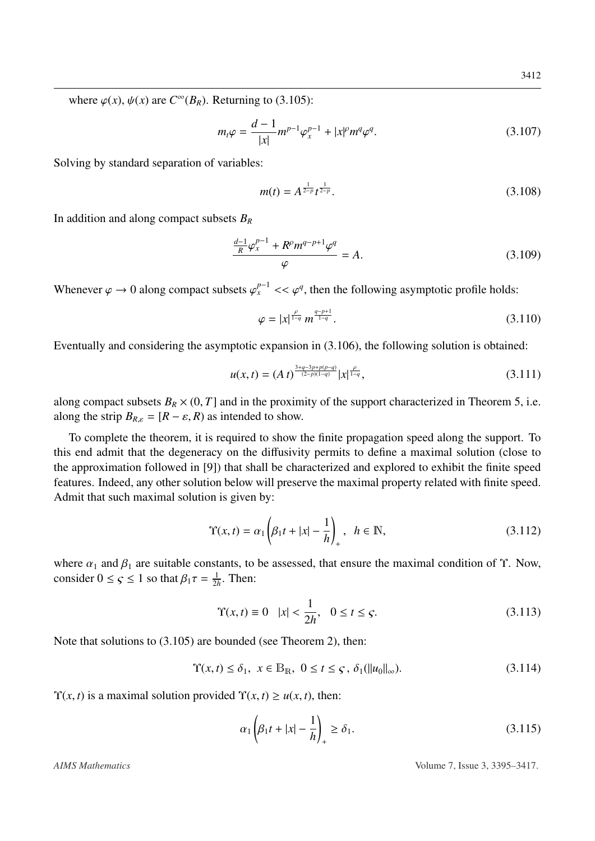where  $\varphi(x)$ ,  $\psi(x)$  are  $C^{\infty}(B_R)$ . Returning to [\(3.105\)](#page-16-1):

$$
m_t \varphi = \frac{d-1}{|x|} m^{p-1} \varphi_x^{p-1} + |x|^p m^q \varphi^q.
$$
 (3.107)

Solving by standard separation of variables:

$$
m(t) = A^{\frac{1}{2-p}} t^{\frac{1}{2-p}}.
$$
\n(3.108)

In addition and along compact subsets *B<sup>R</sup>*

$$
\frac{\frac{d-1}{R}\varphi_x^{p-1} + R^{\rho}m^{q-p+1}\varphi^q}{\varphi} = A.
$$
\n(3.109)

Whenever  $\varphi \to 0$  along compact subsets  $\varphi_x^{p-1} \ll \varphi^q$ , then the following asymptotic profile holds:

$$
\varphi = |x|^{\frac{\rho}{1-q}} m^{\frac{q-p+1}{1-q}}.
$$
\n(3.110)

Eventually and considering the asymptotic expansion in [\(3.106\)](#page-16-2), the following solution is obtained:

$$
u(x,t) = (A\ t)^{\frac{3+q-3p+p(p-q)}{(2-p)(1-q)}} |x|^{\frac{\rho}{1-q}}, \tag{3.111}
$$

along compact subsets  $B_R \times (0, T]$  and in the proximity of the support characterized in Theorem [5,](#page-13-3) i.e. along the strip  $B_{R,\varepsilon} = [R - \varepsilon, R]$  as intended to show.

To complete the theorem, it is required to show the finite propagation speed along the support. To this end admit that the degeneracy on the diffusivity permits to define a maximal solution (close to the approximation followed in [\[9\]](#page-20-3)) that shall be characterized and explored to exhibit the finite speed features. Indeed, any other solution below will preserve the maximal property related with finite speed. Admit that such maximal solution is given by:

$$
\Upsilon(x,t) = \alpha_1 \left( \beta_1 t + |x| - \frac{1}{h} \right)_+, \quad h \in \mathbb{N},\tag{3.112}
$$

where  $\alpha_1$  and  $\beta_1$  are suitable constants, to be assessed, that ensure the maximal condition of  $\Upsilon$ . Now, consider  $0 \leq \varsigma \leq 1$  so that  $\beta_1 \tau = \frac{1}{2l}$  $\frac{1}{2h}$ . Then:

$$
\Upsilon(x,t) \equiv 0 \quad |x| < \frac{1}{2h}, \quad 0 \le t \le \varsigma.
$$
\n(3.113)

Note that solutions to [\(3.105\)](#page-16-1) are bounded (see Theorem [2\)](#page-6-4), then:

$$
\Upsilon(x,t) \le \delta_1, \ x \in \mathbb{B}_{\mathbb{R}}, \ 0 \le t \le \varsigma, \ \delta_1(\|u_0\|_{\infty}).\tag{3.114}
$$

 $\Upsilon(x, t)$  is a maximal solution provided  $\Upsilon(x, t) \ge u(x, t)$ , then:

$$
\alpha_1 \left( \beta_1 t + |x| - \frac{1}{h} \right)_+ \ge \delta_1. \tag{3.115}
$$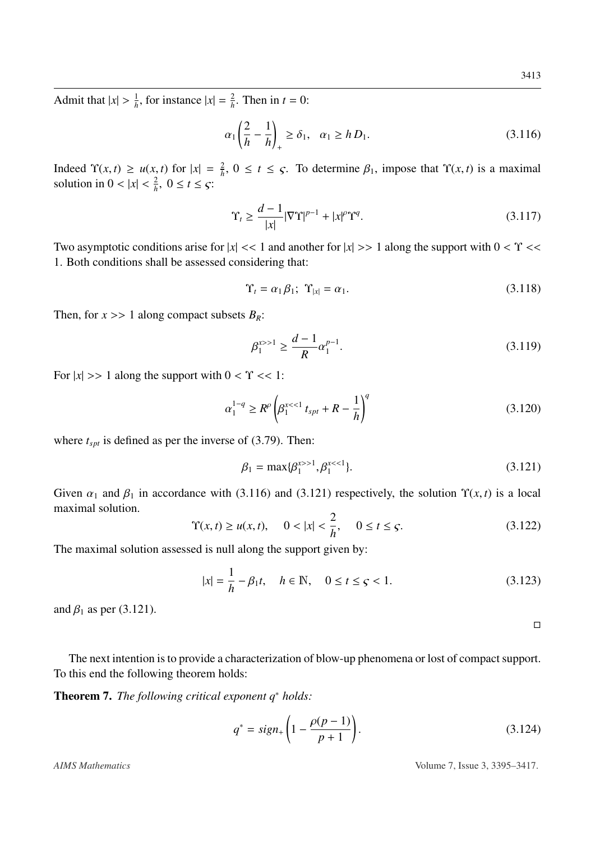Admit that  $|x| > \frac{1}{h}$  $\frac{1}{h}$ , for instance  $|x| = \frac{2}{h}$  $\frac{2}{h}$ . Then in  $t = 0$ :

<span id="page-18-0"></span>
$$
\alpha_1 \left( \frac{2}{h} - \frac{1}{h} \right)_+ \ge \delta_1, \quad \alpha_1 \ge h D_1. \tag{3.116}
$$

Indeed  $\Upsilon(x, t) \ge u(x, t)$  for  $|x| = \frac{2}{h}$ <br>solution in  $0 < |x| < \frac{2}{h}$ ,  $0 < t < \infty$ .  $\frac{2}{h}$ ,  $0 \le t \le \varsigma$ . To determine  $\beta_1$ , impose that  $\Upsilon(x, t)$  is a maximal solution in  $0 < |x| < \frac{2}{h}$  $\frac{2}{h}$ ,  $0 \le t \le \varsigma$ :

$$
\Upsilon_t \ge \frac{d-1}{|x|} |\nabla \Upsilon|^{p-1} + |x|^{\rho} \Upsilon^q. \tag{3.117}
$$

Two asymptotic conditions arise for  $|x| \ll 1$  and another for  $|x| \gg 1$  along the support with  $0 \ll \gamma \ll 1$ 1. Both conditions shall be assessed considering that:

$$
\Upsilon_t = \alpha_1 \beta_1; \ \Upsilon_{|x|} = \alpha_1. \tag{3.118}
$$

Then, for  $x \gg 1$  along compact subsets  $B_R$ :

$$
\beta_1^{x>>1} \ge \frac{d-1}{R} \alpha_1^{p-1}.\tag{3.119}
$$

For  $|x| \gg 1$  along the support with  $0 < \Upsilon \ll 1$ :

$$
\alpha_1^{1-q} \ge R^{\rho} \left( \beta_1^{x < 1} \, t_{spt} + R - \frac{1}{h} \right)^q \tag{3.120}
$$

where  $t_{spt}$  is defined as per the inverse of [\(3.79\)](#page-14-5). Then:

<span id="page-18-1"></span>
$$
\beta_1 = \max\{\beta_1^{x>1}, \beta_1^{x<1}\}.\tag{3.121}
$$

Given  $\alpha_1$  and  $\beta_1$  in accordance with [\(3.116\)](#page-18-0) and [\(3.121\)](#page-18-1) respectively, the solution  $\Upsilon(x, t)$  is a local maximal solution.

$$
\Upsilon(x,t) \ge u(x,t), \quad 0 < |x| < \frac{2}{h}, \quad 0 \le t \le \varsigma.
$$
\n(3.122)

The maximal solution assessed is null along the support given by:

$$
|x| = \frac{1}{h} - \beta_1 t, \quad h \in \mathbb{N}, \quad 0 \le t \le \varsigma < 1. \tag{3.123}
$$

and  $\beta_1$  as per [\(3.121\)](#page-18-1).

 $\Box$ 

The next intention is to provide a characterization of blow-up phenomena or lost of compact support. To this end the following theorem holds:

Theorem 7. *The following critical exponent q*<sup>∗</sup> *holds:*

$$
q^* = sign_+ \left( 1 - \frac{\rho(p-1)}{p+1} \right). \tag{3.124}
$$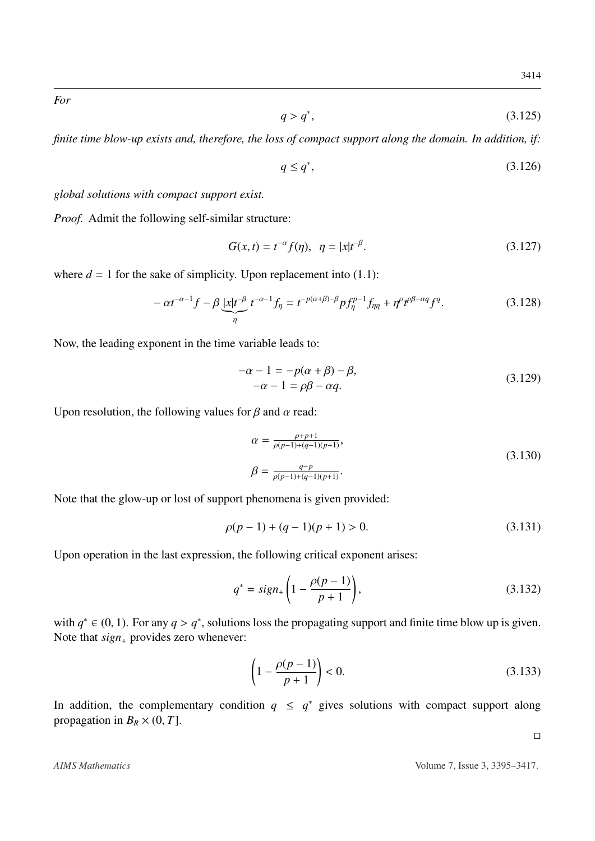*For*

$$
q > q^*,\tag{3.125}
$$

*finite time blow-up exists and, therefore, the loss of compact support along the domain. In addition, if:*

$$
q \le q^*,\tag{3.126}
$$

*global solutions with compact support exist.*

*Proof.* Admit the following self-similar structure:

$$
G(x,t) = t^{-\alpha} f(\eta), \ \ \eta = |x|t^{-\beta}.
$$
 (3.127)

where  $d = 1$  for the sake of simplicity. Upon replacement into  $(1.1)$ :

$$
-\alpha t^{-\alpha-1} f - \beta \underbrace{|x| t^{-\beta}}_{\eta} t^{-\alpha-1} f_{\eta} = t^{-p(\alpha+\beta)-\beta} p f_{\eta}^{p-1} f_{\eta\eta} + \eta^{\rho} t^{\rho\beta-\alpha q} f^{q}.
$$
 (3.128)

Now, the leading exponent in the time variable leads to:

$$
-\alpha - 1 = -p(\alpha + \beta) - \beta,
$$
  
\n
$$
-\alpha - 1 = \rho\beta - \alpha q.
$$
\n(3.129)

Upon resolution, the following values for  $\beta$  and  $\alpha$  read:

$$
\alpha = \frac{\rho + p + 1}{\rho(p-1) + (q-1)(p+1)},
$$
  
\n
$$
\beta = \frac{q - p}{\rho(p-1) + (q-1)(p+1)}.
$$
\n(3.130)

Note that the glow-up or lost of support phenomena is given provided:

$$
\rho(p-1) + (q-1)(p+1) > 0. \tag{3.131}
$$

Upon operation in the last expression, the following critical exponent arises:

$$
q^* = sign_+ \left( 1 - \frac{\rho(p-1)}{p+1} \right),\tag{3.132}
$$

with  $q^* \in (0, 1)$ . For any  $q > q^*$ , solutions loss the propagating support and finite time blow up is given.<br>Note that sign, provides zero whenever: Note that *sign*<sup>+</sup> provides zero whenever:

$$
\left(1 - \frac{\rho(p-1)}{p+1}\right) < 0. \tag{3.133}
$$

In addition, the complementary condition  $q \leq q^*$  gives solutions with compact support along propagation in  $B_R \times (0, T]$ .

 $\Box$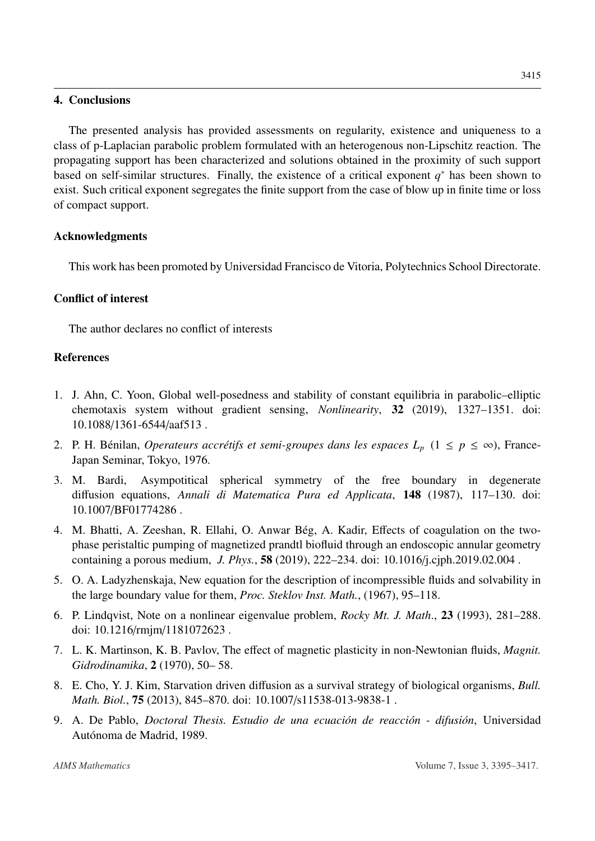### 4. Conclusions

The presented analysis has provided assessments on regularity, existence and uniqueness to a class of p-Laplacian parabolic problem formulated with an heterogenous non-Lipschitz reaction. The propagating support has been characterized and solutions obtained in the proximity of such support based on self-similar structures. Finally, the existence of a critical exponent  $q^*$  has been shown to exist. Such critical exponent segregates the finite support from the case of blow up in finite time or loss of compact support.

## Acknowledgments

This work has been promoted by Universidad Francisco de Vitoria, Polytechnics School Directorate.

## Conflict of interest

The author declares no conflict of interests

## References

- <span id="page-20-4"></span>1. J. Ahn, C. Yoon, Global well-posedness and stability of constant equilibria in parabolic–elliptic chemotaxis system without gradient sensing, *Nonlinearity*, 32 (2019), 1327–1351. doi: 10.1088/[1361-6544](http://dx.doi.org/10.1088/1361-6544/aaf513)/aaf513 .
- <span id="page-20-8"></span>2. P. H. Bénilan, *Operateurs accrétifs et semi-groupes dans les espaces*  $L_p$  ( $1 \leq p \leq \infty$ ), France-Japan Seminar, Tokyo, 1976.
- <span id="page-20-7"></span>3. M. Bardi, Asympotitical spherical symmetry of the free boundary in degenerate diffusion equations, *Annali di Matematica Pura ed Applicata*, 148 (1987), 117–130. doi: 10.1007/[BF01774286](http://dx.doi.org/10.1007/BF01774286) .
- <span id="page-20-6"></span>4. M. Bhatti, A. Zeeshan, R. Ellahi, O. Anwar Bég, A. Kadir, Effects of coagulation on the twophase peristaltic pumping of magnetized prandtl biofluid through an endoscopic annular geometry containing a porous medium, *J. Phys.*, 58 (2019), 222–234. doi: 10.1016/[j.cjph.2019.02.004](http://dx.doi.org/10.1016/j.cjph.2019.02.004) .
- <span id="page-20-0"></span>5. O. A. Ladyzhenskaja, New equation for the description of incompressible fluids and solvability in the large boundary value for them, *Proc. Steklov Inst. Math.*, (1967), 95–118.
- <span id="page-20-1"></span>6. P. Lindqvist, Note on a nonlinear eigenvalue problem, *Rocky Mt. J. Math*., 23 (1993), 281–288. doi: 10.1216/rmjm/[1181072623](http://dx.doi.org/10.1216/rmjm/1181072623) .
- <span id="page-20-2"></span>7. L. K. Martinson, K. B. Pavlov, The effect of magnetic plasticity in non-Newtonian fluids, *Magnit. Gidrodinamika*, 2 (1970), 50– 58.
- <span id="page-20-5"></span>8. E. Cho, Y. J. Kim, Starvation driven diffusion as a survival strategy of biological organisms, *Bull. Math. Biol.*, 75 (2013), 845–870. doi: 10.1007/[s11538-013-9838-1](http://dx.doi.org/10.1007/s11538-013-9838-1) .
- <span id="page-20-3"></span>9. A. De Pablo, *Doctoral Thesis. Estudio de una ecuación de reacción - difusión*, Universidad Autónoma de Madrid, 1989.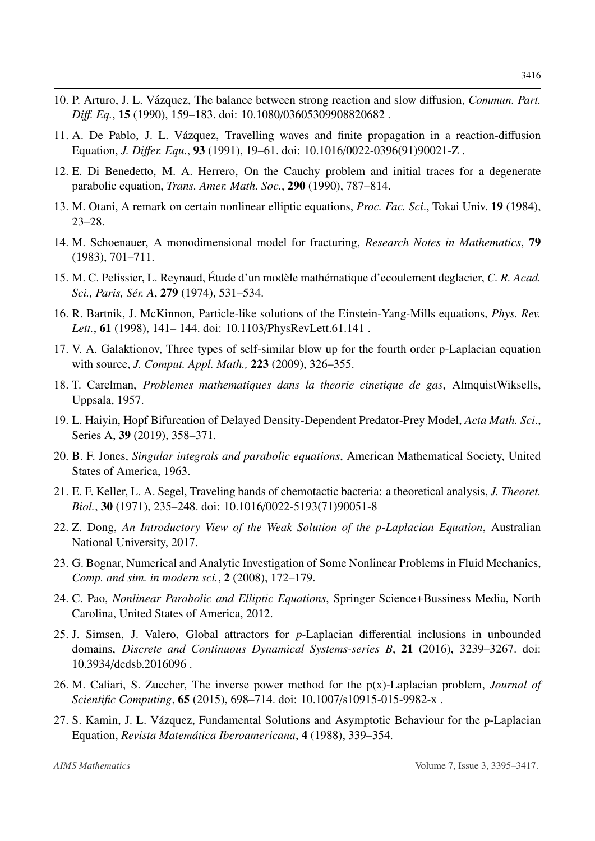- <span id="page-21-11"></span>10. P. Arturo, J. L. Vázquez, The balance between strong reaction and slow diffusion, *Commun. Part. Di*ff*. Eq.*, 15 (1990), 159–183. doi: 10.1080/[03605309908820682](http://dx.doi.org/10.1080/03605309908820682) .
- <span id="page-21-8"></span>11. A. De Pablo, J. L. Vázquez, Travelling waves and finite propagation in a reaction-diffusion Equation, *J. Di*ff*er. Equ.*, 93 (1991), 19–61. doi: 10.1016/[0022-0396\(91\)90021-Z](http://dx.doi.org/10.1016/0022-0396(91)90021-Z) .
- <span id="page-21-14"></span>12. E. Di Benedetto, M. A. Herrero, On the Cauchy problem and initial traces for a degenerate parabolic equation, *Trans. Amer. Math. Soc.*, 290 (1990), 787–814.
- <span id="page-21-3"></span>13. M. Otani, A remark on certain nonlinear elliptic equations, *Proc. Fac. Sci*., Tokai Univ. 19 (1984), 23–28.
- <span id="page-21-5"></span>14. M. Schoenauer, A monodimensional model for fracturing, *Research Notes in Mathematics*, 79 (1983), 701–711.
- <span id="page-21-4"></span>15. M. C. Pelissier, L. Reynaud, Étude d'un modèle mathématique d'ecoulement deglacier, C. R. Acad. *Sci., Paris, Sér. A, 279* (1974), 531–534.
- <span id="page-21-2"></span>16. R. Bartnik, J. McKinnon, Particle-like solutions of the Einstein-Yang-Mills equations, *Phys. Rev. Lett.*, 61 (1998), 141– 144. doi: 10.1103/[PhysRevLett.61.141](http://dx.doi.org/10.1103/PhysRevLett.61.141) .
- <span id="page-21-15"></span>17. V. A. Galaktionov, Three types of self-similar blow up for the fourth order p-Laplacian equation with source, *J. Comput. Appl. Math.,* 223 (2009), 326–355.
- <span id="page-21-1"></span>18. T. Carelman, *Problemes mathematiques dans la theorie cinetique de gas*, AlmquistWiksells, Uppsala, 1957.
- <span id="page-21-10"></span>19. L. Haiyin, Hopf Bifurcation of Delayed Density-Dependent Predator-Prey Model, *Acta Math. Sci*., Series A, 39 (2019), 358–371.
- <span id="page-21-16"></span>20. B. F. Jones, *Singular integrals and parabolic equations*, American Mathematical Society, United States of America, 1963.
- <span id="page-21-9"></span>21. E. F. Keller, L. A. Segel, Traveling bands of chemotactic bacteria: a theoretical analysis, *J. Theoret. Biol.*, 30 (1971), 235–248. doi: 10.1016/[0022-5193\(71\)90051-8](http://dx.doi.org/10.1016/0022-5193(71)90051-8)
- <span id="page-21-17"></span>22. Z. Dong, *An Introductory View of the Weak Solution of the p-Laplacian Equation*, Australian National University, 2017.
- <span id="page-21-0"></span>23. G. Bognar, Numerical and Analytic Investigation of Some Nonlinear Problems in Fluid Mechanics, *Comp. and sim. in modern sci.*, 2 (2008), 172–179.
- <span id="page-21-13"></span>24. C. Pao, *Nonlinear Parabolic and Elliptic Equations*, Springer Science+Bussiness Media, North Carolina, United States of America, 2012.
- <span id="page-21-7"></span>25. J. Simsen, J. Valero, Global attractors for *p*-Laplacian differential inclusions in unbounded domains, *Discrete and Continuous Dynamical Systems-series B*, 21 (2016), 3239–3267. doi: 10.3934/[dcdsb.2016096](http://dx.doi.org/10.3934/dcdsb.2016096) .
- <span id="page-21-6"></span>26. M. Caliari, S. Zuccher, The inverse power method for the p(x)-Laplacian problem, *Journal of Scientific Computing*, 65 (2015), 698–714. doi: 10.1007/[s10915-015-9982-x](http://dx.doi.org/10.1007/s10915-015-9982-x) .
- <span id="page-21-12"></span>27. S. Kamin, J. L. Vazquez, Fundamental Solutions and Asymptotic Behaviour for the p-Laplacian ´ Equation, *Revista Matem´atica Iberoamericana*, 4 (1988), 339–354.